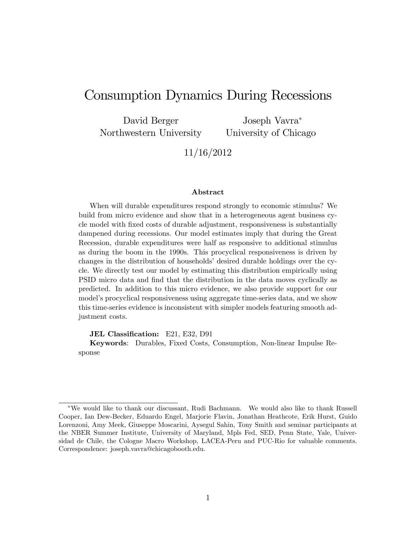# Consumption Dynamics During Recessions

David Berger Northwestern University

Joseph Vavra University of Chicago

11/16/2012

#### Abstract

When will durable expenditures respond strongly to economic stimulus? We build from micro evidence and show that in a heterogeneous agent business cycle model with Öxed costs of durable adjustment, responsiveness is substantially dampened during recessions. Our model estimates imply that during the Great Recession, durable expenditures were half as responsive to additional stimulus as during the boom in the 1990s. This procyclical responsiveness is driven by changes in the distribution of households' desired durable holdings over the cycle. We directly test our model by estimating this distribution empirically using PSID micro data and find that the distribution in the data moves cyclically as predicted. In addition to this micro evidence, we also provide support for our model's procyclical responsiveness using aggregate time-series data, and we show this time-series evidence is inconsistent with simpler models featuring smooth adjustment costs.

JEL Classification: E21, E32, D91

Keywords: Durables, Fixed Costs, Consumption, Non-linear Impulse Response

We would like to thank our discussant, Rudi Bachmann. We would also like to thank Russell Cooper, Ian Dew-Becker, Eduardo Engel, Marjorie Flavin, Jonathan Heathcote, Erik Hurst, Guido Lorenzoni, Amy Meek, Giuseppe Moscarini, Aysegul Sahin, Tony Smith and seminar participants at the NBER Summer Institute, University of Maryland, Mpls Fed, SED, Penn State, Yale, Universidad de Chile, the Cologne Macro Workshop, LACEA-Peru and PUC-Rio for valuable comments. Correspondence: joseph.vavra@chicagobooth.edu.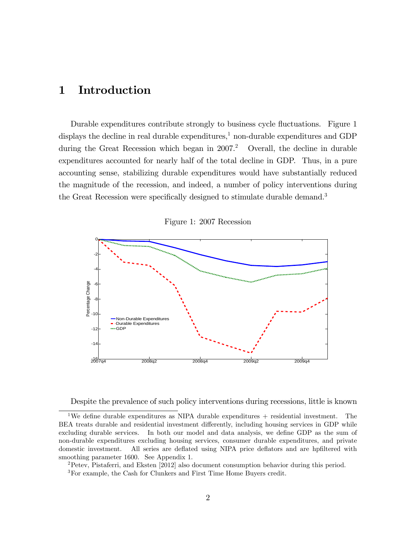## 1 Introduction

Durable expenditures contribute strongly to business cycle fluctuations. Figure 1 displays the decline in real durable expenditures, $\frac{1}{2}$  non-durable expenditures and GDP during the Great Recession which began in  $2007<sup>2</sup>$  Overall, the decline in durable expenditures accounted for nearly half of the total decline in GDP. Thus, in a pure accounting sense, stabilizing durable expenditures would have substantially reduced the magnitude of the recession, and indeed, a number of policy interventions during the Great Recession were specifically designed to stimulate durable demand.<sup>3</sup>



Figure 1: 2007 Recession

Despite the prevalence of such policy interventions during recessions, little is known

<sup>&</sup>lt;sup>1</sup>We define durable expenditures as NIPA durable expenditures  $+$  residential investment. The BEA treats durable and residential investment differently, including housing services in GDP while excluding durable services. In both our model and data analysis, we define GDP as the sum of non-durable expenditures excluding housing services, consumer durable expenditures, and private domestic investment. All series are deflated using NIPA price deflators and are hpfiltered with smoothing parameter 1600. See Appendix 1.

<sup>2</sup>Petev, Pistaferri, and Eksten [2012] also document consumption behavior during this period.

<sup>3</sup>For example, the Cash for Clunkers and First Time Home Buyers credit.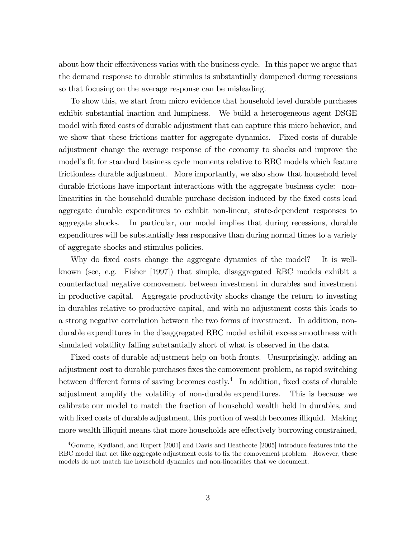about how their effectiveness varies with the business cycle. In this paper we argue that the demand response to durable stimulus is substantially dampened during recessions so that focusing on the average response can be misleading.

To show this, we start from micro evidence that household level durable purchases exhibit substantial inaction and lumpiness. We build a heterogeneous agent DSGE model with fixed costs of durable adjustment that can capture this micro behavior, and we show that these frictions matter for aggregate dynamics. Fixed costs of durable adjustment change the average response of the economy to shocks and improve the model's fit for standard business cycle moments relative to RBC models which feature frictionless durable adjustment. More importantly, we also show that household level durable frictions have important interactions with the aggregate business cycle: nonlinearities in the household durable purchase decision induced by the fixed costs lead aggregate durable expenditures to exhibit non-linear, state-dependent responses to aggregate shocks. In particular, our model implies that during recessions, durable expenditures will be substantially less responsive than during normal times to a variety of aggregate shocks and stimulus policies.

Why do fixed costs change the aggregate dynamics of the model? It is wellknown (see, e.g. Fisher [1997]) that simple, disaggregated RBC models exhibit a counterfactual negative comovement between investment in durables and investment in productive capital. Aggregate productivity shocks change the return to investing in durables relative to productive capital, and with no adjustment costs this leads to a strong negative correlation between the two forms of investment. In addition, nondurable expenditures in the disaggregated RBC model exhibit excess smoothness with simulated volatility falling substantially short of what is observed in the data.

Fixed costs of durable adjustment help on both fronts. Unsurprisingly, adding an adjustment cost to durable purchases fixes the comovement problem, as rapid switching between different forms of saving becomes  $costly.<sup>4</sup>$  In addition, fixed costs of durable adjustment amplify the volatility of non-durable expenditures. This is because we calibrate our model to match the fraction of household wealth held in durables, and with fixed costs of durable adjustment, this portion of wealth becomes illiquid. Making more wealth illiquid means that more households are effectively borrowing constrained,

<sup>4</sup>Gomme, Kydland, and Rupert [2001] and Davis and Heathcote [2005] introduce features into the RBC model that act like aggregate adjustment costs to fix the comovement problem. However, these models do not match the household dynamics and non-linearities that we document.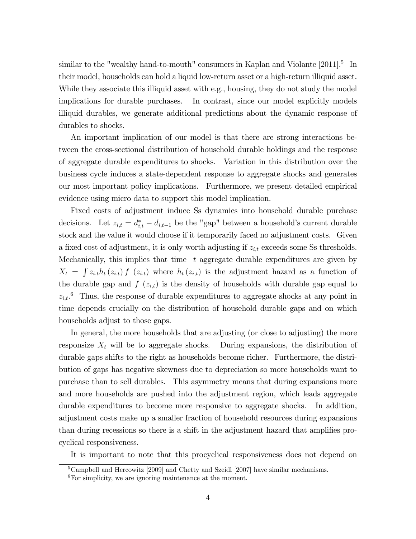similar to the "wealthy hand-to-mouth" consumers in Kaplan and Violante [2011].<sup>5</sup> In their model, households can hold a liquid low-return asset or a high-return illiquid asset. While they associate this illiquid asset with e.g., housing, they do not study the model implications for durable purchases. In contrast, since our model explicitly models illiquid durables, we generate additional predictions about the dynamic response of durables to shocks.

An important implication of our model is that there are strong interactions between the cross-sectional distribution of household durable holdings and the response of aggregate durable expenditures to shocks. Variation in this distribution over the business cycle induces a state-dependent response to aggregate shocks and generates our most important policy implications. Furthermore, we present detailed empirical evidence using micro data to support this model implication.

Fixed costs of adjustment induce Ss dynamics into household durable purchase decisions. Let  $z_{i,t} = d_{i,t}^* - d_{i,t-1}$  be the "gap" between a household's current durable stock and the value it would choose if it temporarily faced no adjustment costs. Given a fixed cost of adjustment, it is only worth adjusting if  $z_{i,t}$  exceeds some Ss thresholds. Mechanically, this implies that time  $t$  aggregate durable expenditures are given by  $X_t = \int z_{i,t} h_t(z_{i,t}) f(z_{i,t})$  where  $h_t(z_{i,t})$  is the adjustment hazard as a function of the durable gap and  $f(z_{i,t})$  is the density of households with durable gap equal to  $z_{i,t}$ <sup>6</sup>. Thus, the response of durable expenditures to aggregate shocks at any point in time depends crucially on the distribution of household durable gaps and on which households adjust to those gaps.

In general, the more households that are adjusting (or close to adjusting) the more responsize  $X_t$  will be to aggregate shocks. During expansions, the distribution of durable gaps shifts to the right as households become richer. Furthermore, the distribution of gaps has negative skewness due to depreciation so more households want to purchase than to sell durables. This asymmetry means that during expansions more and more households are pushed into the adjustment region, which leads aggregate durable expenditures to become more responsive to aggregate shocks. In addition, adjustment costs make up a smaller fraction of household resources during expansions than during recessions so there is a shift in the adjustment hazard that amplifies procyclical responsiveness.

It is important to note that this procyclical responsiveness does not depend on

<sup>&</sup>lt;sup>5</sup>Campbell and Hercowitz [2009] and Chetty and Szeidl [2007] have similar mechanisms.

<sup>6</sup>For simplicity, we are ignoring maintenance at the moment.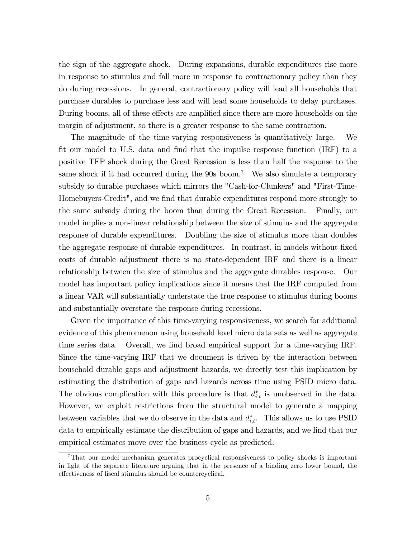the sign of the aggregate shock. During expansions, durable expenditures rise more in response to stimulus and fall more in response to contractionary policy than they do during recessions. In general, contractionary policy will lead all households that purchase durables to purchase less and will lead some households to delay purchases. During booms, all of these effects are amplified since there are more households on the margin of adjustment, so there is a greater response to the same contraction.

The magnitude of the time-varying responsiveness is quantitatively large. We fit our model to U.S. data and find that the impulse response function (IRF) to a positive TFP shock during the Great Recession is less than half the response to the same shock if it had occurred during the  $90s$  boom.<sup>7</sup> We also simulate a temporary subsidy to durable purchases which mirrors the "Cash-for-Clunkers" and "First-Time-Homebuyers-Credit", and we find that durable expenditures respond more strongly to the same subsidy during the boom than during the Great Recession. Finally, our model implies a non-linear relationship between the size of stimulus and the aggregate response of durable expenditures. Doubling the size of stimulus more than doubles the aggregate response of durable expenditures. In contrast, in models without fixed costs of durable adjustment there is no state-dependent IRF and there is a linear relationship between the size of stimulus and the aggregate durables response. Our model has important policy implications since it means that the IRF computed from a linear VAR will substantially understate the true response to stimulus during booms and substantially overstate the response during recessions.

Given the importance of this time-varying responsiveness, we search for additional evidence of this phenomenon using household level micro data sets as well as aggregate time series data. Overall, we find broad empirical support for a time-varying IRF. Since the time-varying IRF that we document is driven by the interaction between household durable gaps and adjustment hazards, we directly test this implication by estimating the distribution of gaps and hazards across time using PSID micro data. The obvious complication with this procedure is that  $d_{i,t}^*$  is unobserved in the data. However, we exploit restrictions from the structural model to generate a mapping between variables that we do observe in the data and  $d_{i,t}^*$ . This allows us to use PSID data to empirically estimate the distribution of gaps and hazards, and we find that our empirical estimates move over the business cycle as predicted.

<sup>7</sup>That our model mechanism generates procyclical responsiveness to policy shocks is important in light of the separate literature arguing that in the presence of a binding zero lower bound, the effectiveness of fiscal stimulus should be countercyclical.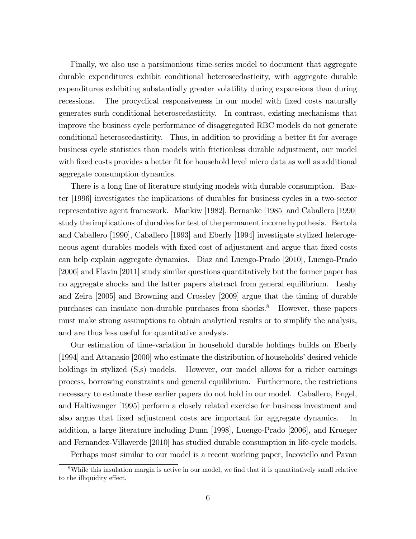Finally, we also use a parsimonious time-series model to document that aggregate durable expenditures exhibit conditional heteroscedasticity, with aggregate durable expenditures exhibiting substantially greater volatility during expansions than during recessions. The procyclical responsiveness in our model with fixed costs naturally generates such conditional heteroscedasticity. In contrast, existing mechanisms that improve the business cycle performance of disaggregated RBC models do not generate conditional heteroscedasticity. Thus, in addition to providing a better fit for average business cycle statistics than models with frictionless durable adjustment, our model with fixed costs provides a better fit for household level micro data as well as additional aggregate consumption dynamics.

There is a long line of literature studying models with durable consumption. Baxter [1996] investigates the implications of durables for business cycles in a two-sector representative agent framework. Mankiw [1982], Bernanke [1985] and Caballero [1990] study the implications of durables for test of the permanent income hypothesis. Bertola and Caballero [1990], Caballero [1993] and Eberly [1994] investigate stylized heterogeneous agent durables models with fixed cost of adjustment and argue that fixed costs can help explain aggregate dynamics. Diaz and Luengo-Prado [2010], Luengo-Prado [2006] and Flavin [2011] study similar questions quantitatively but the former paper has no aggregate shocks and the latter papers abstract from general equilibrium. Leahy and Zeira [2005] and Browning and Crossley [2009] argue that the timing of durable purchases can insulate non-durable purchases from shocks.<sup>8</sup> However, these papers must make strong assumptions to obtain analytical results or to simplify the analysis, and are thus less useful for quantitative analysis.

Our estimation of time-variation in household durable holdings builds on Eberly  $[1994]$  and Attanasio  $[2000]$  who estimate the distribution of households<sup>'</sup> desired vehicle holdings in stylized  $(S,s)$  models. However, our model allows for a richer earnings process, borrowing constraints and general equilibrium. Furthermore, the restrictions necessary to estimate these earlier papers do not hold in our model. Caballero, Engel, and Haltiwanger [1995] perform a closely related exercise for business investment and also argue that fixed adjustment costs are important for aggregate dynamics. In addition, a large literature including Dunn [1998], Luengo-Prado [2006], and Krueger and Fernandez-Villaverde [2010] has studied durable consumption in life-cycle models.

Perhaps most similar to our model is a recent working paper, Iacoviello and Pavan

 $8$ While this insulation margin is active in our model, we find that it is quantitatively small relative to the illiquidity effect.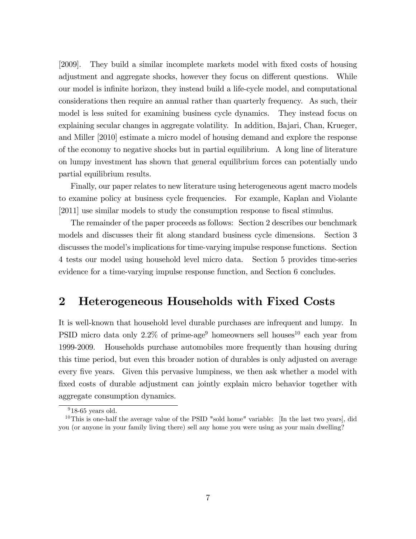[2009]. They build a similar incomplete markets model with Öxed costs of housing adjustment and aggregate shocks, however they focus on different questions. While our model is infinite horizon, they instead build a life-cycle model, and computational considerations then require an annual rather than quarterly frequency. As such, their model is less suited for examining business cycle dynamics. They instead focus on explaining secular changes in aggregate volatility. In addition, Bajari, Chan, Krueger, and Miller [2010] estimate a micro model of housing demand and explore the response of the economy to negative shocks but in partial equilibrium. A long line of literature on lumpy investment has shown that general equilibrium forces can potentially undo partial equilibrium results.

Finally, our paper relates to new literature using heterogeneous agent macro models to examine policy at business cycle frequencies. For example, Kaplan and Violante [2011] use similar models to study the consumption response to fiscal stimulus.

The remainder of the paper proceeds as follows: Section 2 describes our benchmark models and discusses their fit along standard business cycle dimensions. Section 3 discusses the model's implications for time-varying impulse response functions. Section 4 tests our model using household level micro data. Section 5 provides time-series evidence for a time-varying impulse response function, and Section 6 concludes.

## 2 Heterogeneous Households with Fixed Costs

It is well-known that household level durable purchases are infrequent and lumpy. In PSID micro data only  $2.2\%$  of prime-age<sup>9</sup> homeowners sell houses<sup>10</sup> each year from 1999-2009. Households purchase automobiles more frequently than housing during this time period, but even this broader notion of durables is only adjusted on average every five years. Given this pervasive lumpiness, we then ask whether a model with fixed costs of durable adjustment can jointly explain micro behavior together with aggregate consumption dynamics.

 $918-65$  years old.

<sup>&</sup>lt;sup>10</sup>This is one-half the average value of the PSID "sold home" variable: [In the last two years], did you (or anyone in your family living there) sell any home you were using as your main dwelling?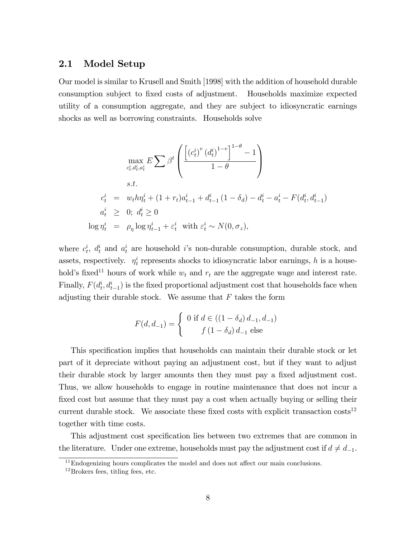#### 2.1 Model Setup

Our model is similar to Krusell and Smith [1998] with the addition of household durable consumption subject to Öxed costs of adjustment. Households maximize expected utility of a consumption aggregate, and they are subject to idiosyncratic earnings shocks as well as borrowing constraints. Households solve

$$
\max_{c_t^i, d_t^i, a_t^i} E \sum \beta^t \left( \frac{\left[ (c_t^{i})^v (d_t^i)^{1-v} \right]^{1-\theta} - 1}{1-\theta} \right)
$$
  
s.t.  

$$
c_t^i = w_t h \eta_t^i + (1+r_t)a_{t-1}^i + d_{t-1}^i (1-\delta_d) - d_t^i - a_t^i - F(d_t^i, d_{t-1}^i)
$$
  

$$
a_t^i \geq 0; d_t^i \geq 0
$$
  

$$
\log \eta_t^i = \rho_\eta \log \eta_{t-1}^i + \varepsilon_t^i \text{ with } \varepsilon_t^i \sim N(0, \sigma_z),
$$

where  $c_t^i$ ,  $d_t^i$  and  $a_t^i$  are household i's non-durable consumption, durable stock, and assets, respectively.  $\eta_t^i$  represents shocks to idiosyncratic labor earnings, h is a household's fixed<sup>11</sup> hours of work while  $w_t$  and  $r_t$  are the aggregate wage and interest rate. Finally,  $F(d_t^i, d_{t-1}^i)$  is the fixed proportional adjustment cost that households face when adjusting their durable stock. We assume that  $F$  takes the form

$$
F(d, d_{-1}) = \begin{cases} 0 \text{ if } d \in ((1 - \delta_d) d_{-1}, d_{-1}) \\ f (1 - \delta_d) d_{-1} \text{ else} \end{cases}
$$

This specification implies that households can maintain their durable stock or let part of it depreciate without paying an adjustment cost, but if they want to adjust their durable stock by larger amounts then they must pay a fixed adjustment cost. Thus, we allow households to engage in routine maintenance that does not incur a fixed cost but assume that they must pay a cost when actually buying or selling their current durable stock. We associate these fixed costs with explicit transaction  $\cos t s^{12}$ together with time costs.

This adjustment cost specification lies between two extremes that are common in the literature. Under one extreme, households must pay the adjustment cost if  $d \neq d_{-1}$ .

 $11$ Endogenizing hours complicates the model and does not affect our main conclusions.

 $^{12}$ Brokers fees, titling fees, etc.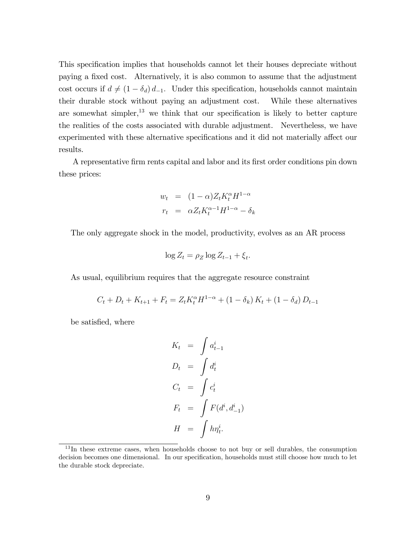This specification implies that households cannot let their houses depreciate without paying a Öxed cost. Alternatively, it is also common to assume that the adjustment cost occurs if  $d \neq (1 - \delta_d) d_{-1}$ . Under this specification, households cannot maintain their durable stock without paying an adjustment cost. While these alternatives are somewhat simpler, $13$  we think that our specification is likely to better capture the realities of the costs associated with durable adjustment. Nevertheless, we have experimented with these alternative specifications and it did not materially affect our results.

A representative Örm rents capital and labor and its Örst order conditions pin down these prices:

$$
w_t = (1 - \alpha)Z_t K_t^{\alpha} H^{1 - \alpha}
$$
  

$$
r_t = \alpha Z_t K_t^{\alpha - 1} H^{1 - \alpha} - \delta_k
$$

The only aggregate shock in the model, productivity, evolves as an AR process

$$
\log Z_t = \rho_Z \log Z_{t-1} + \xi_t.
$$

As usual, equilibrium requires that the aggregate resource constraint

$$
C_t + D_t + K_{t+1} + F_t = Z_t K_t^{\alpha} H^{1-\alpha} + (1 - \delta_k) K_t + (1 - \delta_d) D_{t-1}
$$

be satisfied, where

$$
K_t = \int a_{t-1}^i
$$
  
\n
$$
D_t = \int d_t^i
$$
  
\n
$$
C_t = \int c_t^i
$$
  
\n
$$
F_t = \int F(d^i, d_{-1}^i)
$$
  
\n
$$
H = \int h\eta_t^i.
$$

 $13$ In these extreme cases, when households choose to not buy or sell durables, the consumption decision becomes one dimensional. In our specification, households must still choose how much to let the durable stock depreciate.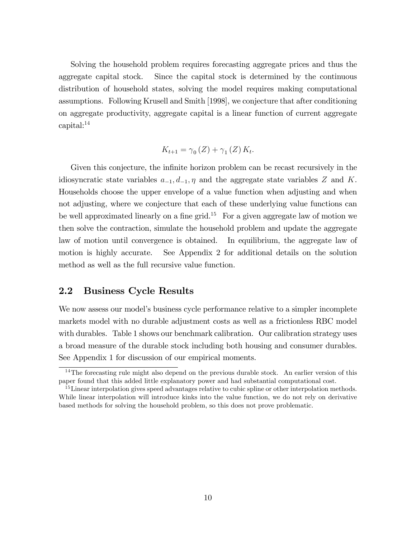Solving the household problem requires forecasting aggregate prices and thus the aggregate capital stock. Since the capital stock is determined by the continuous distribution of household states, solving the model requires making computational assumptions. Following Krusell and Smith [1998], we conjecture that after conditioning on aggregate productivity, aggregate capital is a linear function of current aggregate capital:<sup>14</sup>

$$
K_{t+1} = \gamma_0(Z) + \gamma_1(Z) K_t.
$$

Given this conjecture, the infinite horizon problem can be recast recursively in the idiosyncratic state variables  $a_{-1}, d_{-1}, \eta$  and the aggregate state variables Z and K. Households choose the upper envelope of a value function when adjusting and when not adjusting, where we conjecture that each of these underlying value functions can be well approximated linearly on a fine grid.<sup>15</sup> For a given aggregate law of motion we then solve the contraction, simulate the household problem and update the aggregate law of motion until convergence is obtained. In equilibrium, the aggregate law of motion is highly accurate. See Appendix 2 for additional details on the solution method as well as the full recursive value function.

### 2.2 Business Cycle Results

We now assess our model's business cycle performance relative to a simpler incomplete markets model with no durable adjustment costs as well as a frictionless RBC model with durables. Table 1 shows our benchmark calibration. Our calibration strategy uses a broad measure of the durable stock including both housing and consumer durables. See Appendix 1 for discussion of our empirical moments.

<sup>&</sup>lt;sup>14</sup>The forecasting rule might also depend on the previous durable stock. An earlier version of this paper found that this added little explanatory power and had substantial computational cost.

 $15$  Linear interpolation gives speed advantages relative to cubic spline or other interpolation methods. While linear interpolation will introduce kinks into the value function, we do not rely on derivative based methods for solving the household problem, so this does not prove problematic.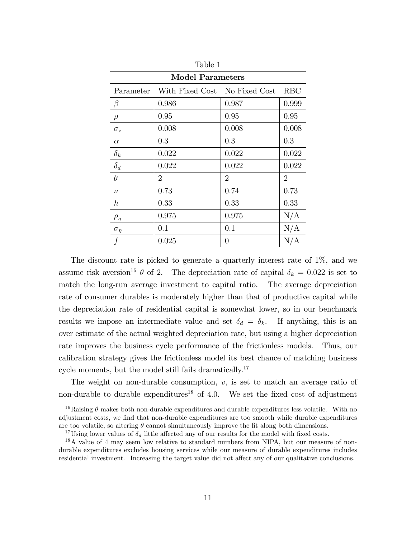| <b>Model Parameters</b> |                               |                |                |  |  |  |
|-------------------------|-------------------------------|----------------|----------------|--|--|--|
| Parameter               | With Fixed Cost No Fixed Cost |                | <b>RBC</b>     |  |  |  |
| $\beta$                 | 0.986                         | 0.987          | 0.999          |  |  |  |
| $\rho$                  | 0.95                          | 0.95           | 0.95           |  |  |  |
| $\sigma_z$              | 0.008                         | 0.008          | 0.008          |  |  |  |
| $\alpha$                | 0.3                           | 0.3            | 0.3            |  |  |  |
| $\delta_k$              | 0.022                         | 0.022          | 0.022          |  |  |  |
| $\delta_d$              | 0.022                         | 0.022          | 0.022          |  |  |  |
| $\theta$                | $\overline{2}$                | $\overline{2}$ | $\overline{2}$ |  |  |  |
| $\nu$                   | 0.73                          | 0.74           | 0.73           |  |  |  |
| $\hbar$                 | 0.33                          | 0.33           | 0.33           |  |  |  |
| $\rho_{\eta}$           | 0.975                         | 0.975          | N/A            |  |  |  |
| $\sigma_{\eta}$         | 0.1                           | 0.1            | N/A            |  |  |  |
| f                       | 0.025                         | 0              | N/A            |  |  |  |

Table 1

The discount rate is picked to generate a quarterly interest rate of 1%, and we assume risk aversion<sup>16</sup>  $\theta$  of 2. The depreciation rate of capital  $\delta_k = 0.022$  is set to match the long-run average investment to capital ratio. The average depreciation rate of consumer durables is moderately higher than that of productive capital while the depreciation rate of residential capital is somewhat lower, so in our benchmark results we impose an intermediate value and set  $\delta_d = \delta_k$ . If anything, this is an over estimate of the actual weighted depreciation rate, but using a higher depreciation rate improves the business cycle performance of the frictionless models. Thus, our calibration strategy gives the frictionless model its best chance of matching business cycle moments, but the model still fails dramatically.<sup>17</sup>

The weight on non-durable consumption,  $v$ , is set to match an average ratio of non-durable to durable expenditures<sup>18</sup> of 4.0. We set the fixed cost of adjustment

<sup>&</sup>lt;sup>16</sup>Raising  $\theta$  makes both non-durable expenditures and durable expenditures less volatile. With no adjustment costs, we find that non-durable expenditures are too smooth while durable expenditures are too volatile, so altering  $\theta$  cannot simultaneously improve the fit along both dimensions.

<sup>&</sup>lt;sup>17</sup>Using lower values of  $\delta_d$  little affected any of our results for the model with fixed costs.

<sup>&</sup>lt;sup>18</sup>A value of 4 may seem low relative to standard numbers from NIPA, but our measure of nondurable expenditures excludes housing services while our measure of durable expenditures includes residential investment. Increasing the target value did not affect any of our qualitative conclusions.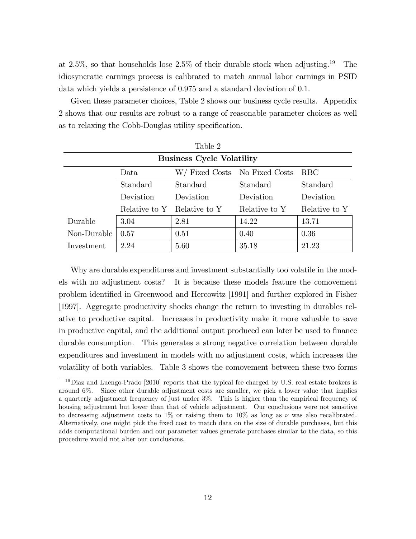at 2.5%, so that households lose  $2.5\%$  of their durable stock when adjusting.<sup>19</sup> The idiosyncratic earnings process is calibrated to match annual labor earnings in PSID data which yields a persistence of 0.975 and a standard deviation of 0.1.

Given these parameter choices, Table 2 shows our business cycle results. Appendix 2 shows that our results are robust to a range of reasonable parameter choices as well as to relaxing the Cobb-Douglas utility specification.

| Table 2                          |               |               |                               |               |  |  |
|----------------------------------|---------------|---------------|-------------------------------|---------------|--|--|
| <b>Business Cycle Volatility</b> |               |               |                               |               |  |  |
|                                  | Data          |               | W/ Fixed Costs No Fixed Costs | RBC           |  |  |
|                                  | Standard      | Standard      | Standard                      | Standard      |  |  |
|                                  | Deviation     | Deviation     | Deviation                     | Deviation     |  |  |
|                                  | Relative to Y | Relative to Y | Relative to Y                 | Relative to Y |  |  |
| Durable                          | 3.04          | 2.81          | 14.22                         | 13.71         |  |  |
| Non-Durable                      | 0.57          | 0.51          | 0.40                          | 0.36          |  |  |
| Investment                       | 2.24          | 5.60          | 35.18                         | 21.23         |  |  |

Why are durable expenditures and investment substantially too volatile in the models with no adjustment costs? It is because these models feature the comovement problem identiÖed in Greenwood and Hercowitz [1991] and further explored in Fisher [1997]. Aggregate productivity shocks change the return to investing in durables relative to productive capital. Increases in productivity make it more valuable to save in productive capital, and the additional output produced can later be used to Önance durable consumption. This generates a strong negative correlation between durable expenditures and investment in models with no adjustment costs, which increases the volatility of both variables. Table 3 shows the comovement between these two forms

<sup>&</sup>lt;sup>19</sup>Diaz and Luengo-Prado [2010] reports that the typical fee charged by U.S. real estate brokers is around 6%. Since other durable adjustment costs are smaller, we pick a lower value that implies a quarterly adjustment frequency of just under 3%. This is higher than the empirical frequency of housing adjustment but lower than that of vehicle adjustment. Our conclusions were not sensitive to decreasing adjustment costs to 1% or raising them to 10% as long as  $\nu$  was also recalibrated. Alternatively, one might pick the Öxed cost to match data on the size of durable purchases, but this adds computational burden and our parameter values generate purchases similar to the data, so this procedure would not alter our conclusions.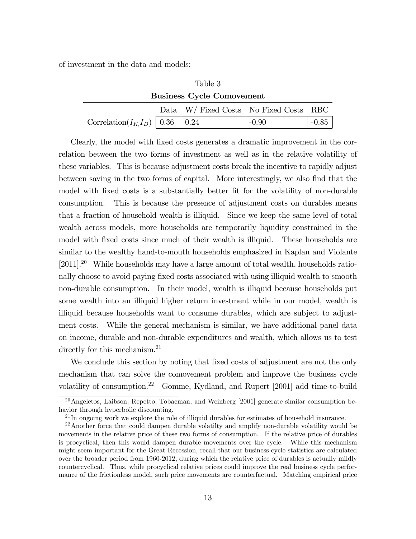of investment in the data and models:

| Table 3                                   |  |                                        |         |  |  |
|-------------------------------------------|--|----------------------------------------|---------|--|--|
| <b>Business Cycle Comovement</b>          |  |                                        |         |  |  |
|                                           |  | Data W/ Fixed Costs No Fixed Costs RBC |         |  |  |
| Correlation( $I_{K_1}I_D$ )   0.36   0.24 |  |                                        | $-0.90$ |  |  |

Clearly, the model with Öxed costs generates a dramatic improvement in the correlation between the two forms of investment as well as in the relative volatility of these variables. This is because adjustment costs break the incentive to rapidly adjust between saving in the two forms of capital. More interestingly, we also find that the model with fixed costs is a substantially better fit for the volatility of non-durable consumption. This is because the presence of adjustment costs on durables means that a fraction of household wealth is illiquid. Since we keep the same level of total wealth across models, more households are temporarily liquidity constrained in the model with fixed costs since much of their wealth is illiquid. These households are similar to the wealthy hand-to-mouth households emphasized in Kaplan and Violante [2011].<sup>20</sup> While households may have a large amount of total wealth, households rationally choose to avoid paying fixed costs associated with using illiquid wealth to smooth non-durable consumption. In their model, wealth is illiquid because households put some wealth into an illiquid higher return investment while in our model, wealth is illiquid because households want to consume durables, which are subject to adjustment costs. While the general mechanism is similar, we have additional panel data on income, durable and non-durable expenditures and wealth, which allows us to test directly for this mechanism.<sup>21</sup>

We conclude this section by noting that fixed costs of adjustment are not the only mechanism that can solve the comovement problem and improve the business cycle volatility of consumption.<sup>22</sup> Gomme, Kydland, and Rupert [2001] add time-to-build

<sup>&</sup>lt;sup>20</sup>Angeletos, Laibson, Repetto, Tobacman, and Weinberg [2001] generate similar consumption behavior through hyperbolic discounting.

<sup>&</sup>lt;sup>21</sup>In ongoing work we explore the role of illiquid durables for estimates of household insurance.

 $22$ Another force that could dampen durable volatility and amplify non-durable volatility would be movements in the relative price of these two forms of consumption. If the relative price of durables is procyclical, then this would dampen durable movements over the cycle. While this mechanism might seem important for the Great Recession, recall that our business cycle statistics are calculated over the broader period from 1960-2012, during which the relative price of durables is actually mildly countercyclical. Thus, while procyclical relative prices could improve the real business cycle performance of the frictionless model, such price movements are counterfactual. Matching empirical price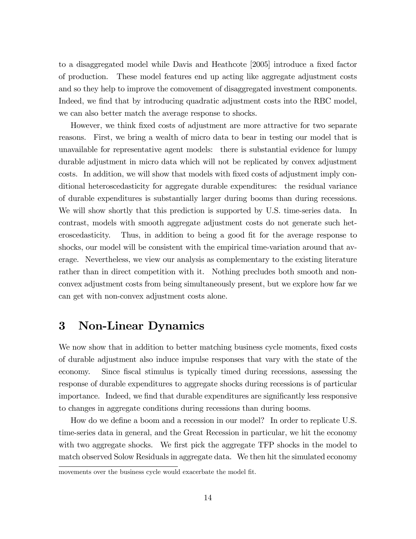to a disaggregated model while Davis and Heathcote [2005] introduce a fixed factor of production. These model features end up acting like aggregate adjustment costs and so they help to improve the comovement of disaggregated investment components. Indeed, we find that by introducing quadratic adjustment costs into the RBC model, we can also better match the average response to shocks.

However, we think Öxed costs of adjustment are more attractive for two separate reasons. First, we bring a wealth of micro data to bear in testing our model that is unavailable for representative agent models: there is substantial evidence for lumpy durable adjustment in micro data which will not be replicated by convex adjustment costs. In addition, we will show that models with Öxed costs of adjustment imply conditional heteroscedasticity for aggregate durable expenditures: the residual variance of durable expenditures is substantially larger during booms than during recessions. We will show shortly that this prediction is supported by U.S. time-series data. In contrast, models with smooth aggregate adjustment costs do not generate such heteroscedasticity. Thus, in addition to being a good fit for the average response to shocks, our model will be consistent with the empirical time-variation around that average. Nevertheless, we view our analysis as complementary to the existing literature rather than in direct competition with it. Nothing precludes both smooth and nonconvex adjustment costs from being simultaneously present, but we explore how far we can get with non-convex adjustment costs alone.

## 3 Non-Linear Dynamics

We now show that in addition to better matching business cycle moments, fixed costs of durable adjustment also induce impulse responses that vary with the state of the economy. Since fiscal stimulus is typically timed during recessions, assessing the response of durable expenditures to aggregate shocks during recessions is of particular importance. Indeed, we find that durable expenditures are significantly less responsive to changes in aggregate conditions during recessions than during booms.

How do we define a boom and a recession in our model? In order to replicate U.S. time-series data in general, and the Great Recession in particular, we hit the economy with two aggregate shocks. We first pick the aggregate TFP shocks in the model to match observed Solow Residuals in aggregate data. We then hit the simulated economy

movements over the business cycle would exacerbate the model fit.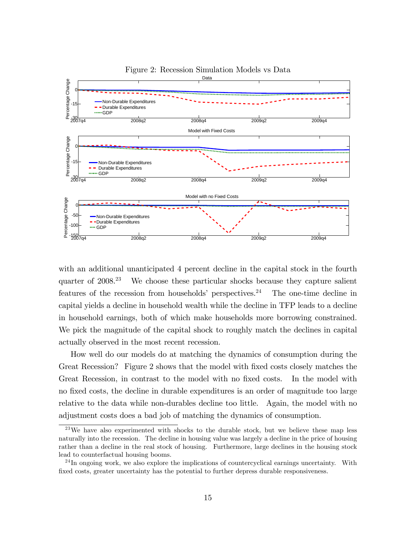

Figure 2: Recession Simulation Models vs Data

with an additional unanticipated 4 percent decline in the capital stock in the fourth quarter of 2008.<sup>23</sup> We choose these particular shocks because they capture salient features of the recession from households' perspectives.<sup>24</sup> The one-time decline in capital yields a decline in household wealth while the decline in TFP leads to a decline in household earnings, both of which make households more borrowing constrained. We pick the magnitude of the capital shock to roughly match the declines in capital actually observed in the most recent recession.

How well do our models do at matching the dynamics of consumption during the Great Recession? Figure 2 shows that the model with fixed costs closely matches the Great Recession, in contrast to the model with no fixed costs. In the model with no fixed costs, the decline in durable expenditures is an order of magnitude too large relative to the data while non-durables decline too little. Again, the model with no adjustment costs does a bad job of matching the dynamics of consumption.

<sup>&</sup>lt;sup>23</sup>We have also experimented with shocks to the durable stock, but we believe these map less naturally into the recession. The decline in housing value was largely a decline in the price of housing rather than a decline in the real stock of housing. Furthermore, large declines in the housing stock lead to counterfactual housing booms.

 $^{24}$ In ongoing work, we also explore the implications of countercyclical earnings uncertainty. With fixed costs, greater uncertainty has the potential to further depress durable responsiveness.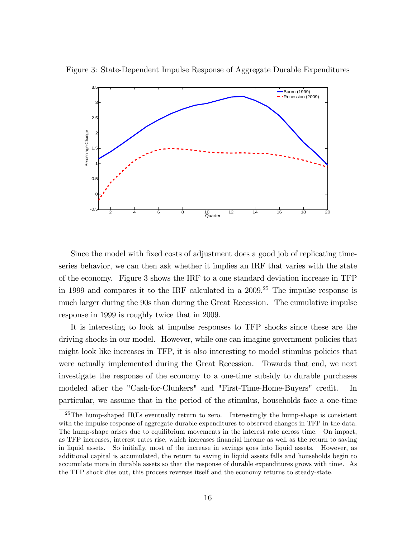

Figure 3: State-Dependent Impulse Response of Aggregate Durable Expenditures

Since the model with fixed costs of adjustment does a good job of replicating timeseries behavior, we can then ask whether it implies an IRF that varies with the state of the economy. Figure 3 shows the IRF to a one standard deviation increase in TFP in 1999 and compares it to the IRF calculated in a 2009.<sup>25</sup> The impulse response is much larger during the 90s than during the Great Recession. The cumulative impulse response in 1999 is roughly twice that in 2009.

It is interesting to look at impulse responses to TFP shocks since these are the driving shocks in our model. However, while one can imagine government policies that might look like increases in TFP, it is also interesting to model stimulus policies that were actually implemented during the Great Recession. Towards that end, we next investigate the response of the economy to a one-time subsidy to durable purchases modeled after the "Cash-for-Clunkers" and "First-Time-Home-Buyers" credit. In particular, we assume that in the period of the stimulus, households face a one-time

<sup>&</sup>lt;sup>25</sup>The hump-shaped IRFs eventually return to zero. Interestingly the hump-shape is consistent with the impulse response of aggregate durable expenditures to observed changes in TFP in the data. The hump-shape arises due to equilibrium movements in the interest rate across time. On impact, as TFP increases, interest rates rise, which increases Önancial income as well as the return to saving in liquid assets. So initially, most of the increase in savings goes into liquid assets. However, as additional capital is accumulated, the return to saving in liquid assets falls and households begin to accumulate more in durable assets so that the response of durable expenditures grows with time. As the TFP shock dies out, this process reverses itself and the economy returns to steady-state.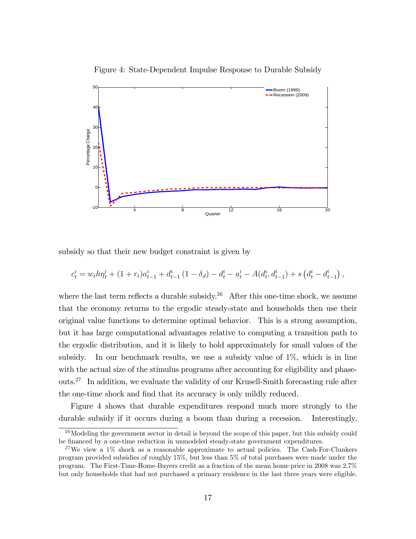



subsidy so that their new budget constraint is given by

$$
c_t^i = w_t h \eta_t^i + (1 + r_t) a_{t-1}^i + d_{t-1}^i (1 - \delta_d) - d_t^i - a_t^i - A(d_t^i, d_{t-1}^i) + s(d_t^i - d_{t-1}^i) ,
$$

where the last term reflects a durable subsidy.<sup>26</sup> After this one-time shock, we assume that the economy returns to the ergodic steady-state and households then use their original value functions to determine optimal behavior. This is a strong assumption, but it has large computational advantages relative to computing a transition path to the ergodic distribution, and it is likely to hold approximately for small values of the subsidy. In our benchmark results, we use a subsidy value of 1%, which is in line with the actual size of the stimulus programs after accounting for eligibility and phaseouts.<sup>27</sup> In addition, we evaluate the validity of our Krusell-Smith forecasting rule after the one-time shock and find that its accuracy is only mildly reduced.

Figure 4 shows that durable expenditures respond much more strongly to the durable subsidy if it occurs during a boom than during a recession. Interestingly,

 $^{26}$ Modeling the government sector in detail is beyond the scope of this paper, but this subsidy could be financed by a one-time reduction in unmodeled steady-state government expenditures.

 $27$ We view a  $1\%$  shock as a reasonable approximate to actual policies. The Cash-For-Clunkers program provided subsidies of roughly 15%, but less than 5% of total purchases were made under the program. The First-Time-Home-Buyers credit as a fraction of the mean home price in 2008 was 2.7% but only households that had not purchased a primary residence in the last three years were eligible.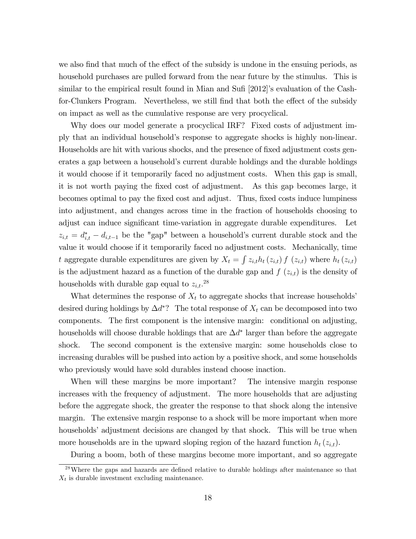we also find that much of the effect of the subsidy is undone in the ensuing periods, as household purchases are pulled forward from the near future by the stimulus. This is similar to the empirical result found in Mian and Sufi  $[2012]$ 's evaluation of the Cashfor-Clunkers Program. Nevertheless, we still find that both the effect of the subsidy on impact as well as the cumulative response are very procyclical.

Why does our model generate a procyclical IRF? Fixed costs of adjustment imply that an individual householdís response to aggregate shocks is highly non-linear. Households are hit with various shocks, and the presence of fixed adjustment costs generates a gap between a householdís current durable holdings and the durable holdings it would choose if it temporarily faced no adjustment costs. When this gap is small, it is not worth paying the Öxed cost of adjustment. As this gap becomes large, it becomes optimal to pay the fixed cost and adjust. Thus, fixed costs induce lumpiness into adjustment, and changes across time in the fraction of households choosing to adjust can induce significant time-variation in aggregate durable expenditures. Let  $z_{i,t} = d_{i,t}^* - d_{i,t-1}$  be the "gap" between a household's current durable stock and the value it would choose if it temporarily faced no adjustment costs. Mechanically, time t aggregate durable expenditures are given by  $X_t = \int z_{i,t} h_t(z_{i,t}) f(z_{i,t})$  where  $h_t(z_{i,t})$ is the adjustment hazard as a function of the durable gap and  $f(z_{i,t})$  is the density of households with durable gap equal to  $z_{i,t}$ .<sup>28</sup>

What determines the response of  $X_t$  to aggregate shocks that increase households<sup>3</sup> desired during holdings by  $\Delta d^*$ ? The total response of  $X_t$  can be decomposed into two components. The first component is the intensive margin: conditional on adjusting, households will choose durable holdings that are  $\Delta d^*$  larger than before the aggregate shock. The second component is the extensive margin: some households close to increasing durables will be pushed into action by a positive shock, and some households who previously would have sold durables instead choose inaction.

When will these margins be more important? The intensive margin response increases with the frequency of adjustment. The more households that are adjusting before the aggregate shock, the greater the response to that shock along the intensive margin. The extensive margin response to a shock will be more important when more households' adjustment decisions are changed by that shock. This will be true when more households are in the upward sloping region of the hazard function  $h_t(z_{i,t})$ .

During a boom, both of these margins become more important, and so aggregate

<sup>&</sup>lt;sup>28</sup>Where the gaps and hazards are defined relative to durable holdings after maintenance so that  $X_t$  is durable investment excluding maintenance.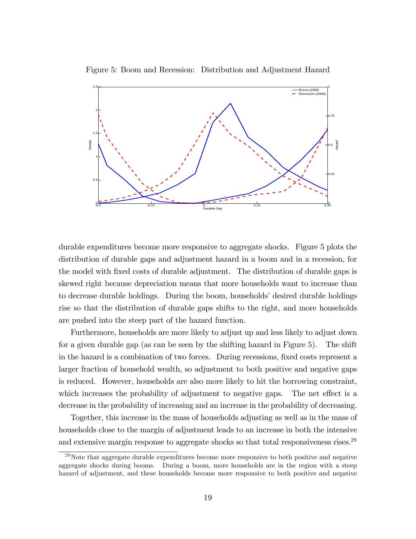

Figure 5: Boom and Recession: Distribution and Adjustment Hazard

durable expenditures become more responsive to aggregate shocks. Figure 5 plots the distribution of durable gaps and adjustment hazard in a boom and in a recession, for the model with Öxed costs of durable adjustment. The distribution of durable gaps is skewed right because depreciation means that more households want to increase than to decrease durable holdings. During the boom, households' desired durable holdings rise so that the distribution of durable gaps shifts to the right, and more households are pushed into the steep part of the hazard function.

Furthermore, households are more likely to adjust up and less likely to adjust down for a given durable gap (as can be seen by the shifting hazard in Figure 5). The shift in the hazard is a combination of two forces. During recessions, fixed costs represent a larger fraction of household wealth, so adjustment to both positive and negative gaps is reduced. However, households are also more likely to hit the borrowing constraint, which increases the probability of adjustment to negative gaps. The net effect is a decrease in the probability of increasing and an increase in the probability of decreasing.

Together, this increase in the mass of households adjusting as well as in the mass of households close to the margin of adjustment leads to an increase in both the intensive and extensive margin response to aggregate shocks so that total responsiveness rises.<sup>29</sup>

 $29$ Note that aggregate durable expenditures become more responsive to both positive and negative aggregate shocks during booms. During a boom, more households are in the region with a steep hazard of adjustment, and these households become more responsive to both positive and negative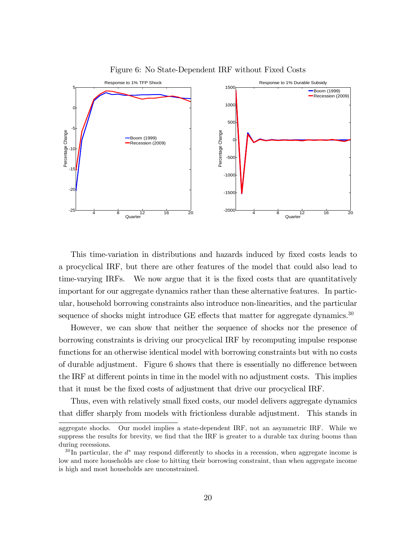

Figure 6: No State-Dependent IRF without Fixed Costs

This time-variation in distributions and hazards induced by Öxed costs leads to a procyclical IRF, but there are other features of the model that could also lead to time-varying IRFs. We now argue that it is the fixed costs that are quantitatively important for our aggregate dynamics rather than these alternative features. In particular, household borrowing constraints also introduce non-linearities, and the particular sequence of shocks might introduce GE effects that matter for aggregate dynamics. $30$ 

However, we can show that neither the sequence of shocks nor the presence of borrowing constraints is driving our procyclical IRF by recomputing impulse response functions for an otherwise identical model with borrowing constraints but with no costs of durable adjustment. Figure  $6$  shows that there is essentially no difference between the IRF at different points in time in the model with no adjustment costs. This implies that it must be the Öxed costs of adjustment that drive our procyclical IRF.

Thus, even with relatively small fixed costs, our model delivers aggregate dynamics that differ sharply from models with frictionless durable adjustment. This stands in

aggregate shocks. Our model implies a state-dependent IRF, not an asymmetric IRF. While we suppress the results for brevity, we find that the IRF is greater to a durable tax during booms than during recessions.

 $30\,\text{In particular, the }d^*$  may respond differently to shocks in a recession, when aggregate income is low and more households are close to hitting their borrowing constraint, than when aggregate income is high and most households are unconstrained.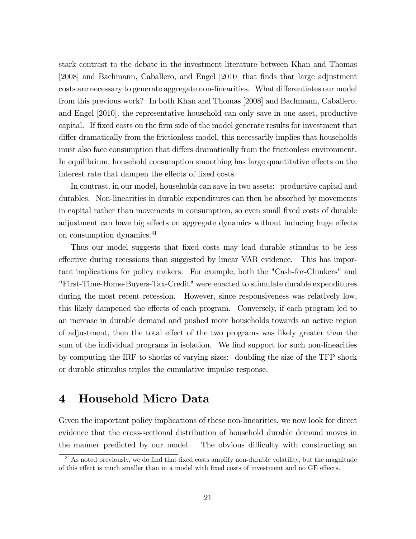stark contrast to the debate in the investment literature between Khan and Thomas [2008] and Bachmann, Caballero, and Engel [2010] that Önds that large adjustment costs are necessary to generate aggregate non-linearities. What differentiates our model from this previous work? In both Khan and Thomas [2008] and Bachmann, Caballero, and Engel [2010], the representative household can only save in one asset, productive capital. If Öxed costs on the Örm side of the model generate results for investment that differ dramatically from the frictionless model, this necessarily implies that households must also face consumption that differs dramatically from the frictionless environment. In equilibrium, household consumption smoothing has large quantitative effects on the interest rate that dampen the effects of fixed costs.

In contrast, in our model, households can save in two assets: productive capital and durables. Non-linearities in durable expenditures can then be absorbed by movements in capital rather than movements in consumption, so even small fixed costs of durable adjustment can have big effects on aggregate dynamics without inducing huge effects on consumption dynamics.<sup>31</sup>

Thus our model suggests that fixed costs may lead durable stimulus to be less effective during recessions than suggested by linear VAR evidence. This has important implications for policy makers. For example, both the "Cash-for-Clunkers" and "First-Time-Home-Buyers-Tax-Credit" were enacted to stimulate durable expenditures during the most recent recession. However, since responsiveness was relatively low, this likely dampened the effects of each program. Conversely, if each program led to an increase in durable demand and pushed more households towards an active region of adjustment, then the total effect of the two programs was likely greater than the sum of the individual programs in isolation. We find support for such non-linearities by computing the IRF to shocks of varying sizes: doubling the size of the TFP shock or durable stimulus triples the cumulative impulse response.

## 4 Household Micro Data

Given the important policy implications of these non-linearities, we now look for direct evidence that the cross-sectional distribution of household durable demand moves in the manner predicted by our model. The obvious difficulty with constructing an

 $31\text{As}$  noted previously, we do find that fixed costs amplify non-durable volatility, but the magnitude of this effect is much smaller than in a model with fixed costs of investment and no GE effects.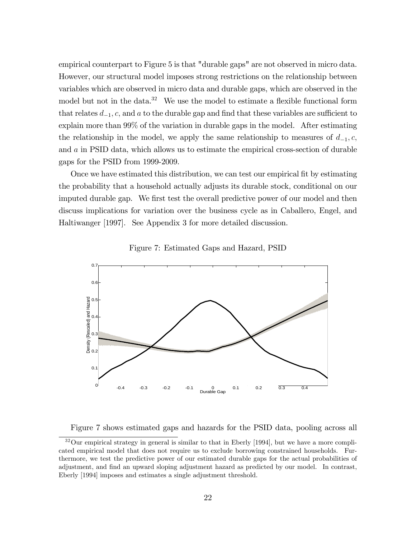empirical counterpart to Figure 5 is that "durable gaps" are not observed in micro data. However, our structural model imposes strong restrictions on the relationship between variables which are observed in micro data and durable gaps, which are observed in the model but not in the data.<sup>32</sup> We use the model to estimate a flexible functional form that relates  $d_{-1}$ , c, and a to the durable gap and find that these variables are sufficient to explain more than 99% of the variation in durable gaps in the model. After estimating the relationship in the model, we apply the same relationship to measures of  $d_{-1}, c$ , and a in PSID data, which allows us to estimate the empirical cross-section of durable gaps for the PSID from 1999-2009.

Once we have estimated this distribution, we can test our empirical Öt by estimating the probability that a household actually adjusts its durable stock, conditional on our imputed durable gap. We first test the overall predictive power of our model and then discuss implications for variation over the business cycle as in Caballero, Engel, and Haltiwanger [1997]. See Appendix 3 for more detailed discussion.



Figure 7: Estimated Gaps and Hazard, PSID

Figure 7 shows estimated gaps and hazards for the PSID data, pooling across all

 $32$ Our empirical strategy in general is similar to that in Eberly [1994], but we have a more complicated empirical model that does not require us to exclude borrowing constrained households. Furthermore, we test the predictive power of our estimated durable gaps for the actual probabilities of adjustment, and find an upward sloping adjustment hazard as predicted by our model. In contrast, Eberly [1994] imposes and estimates a single adjustment threshold.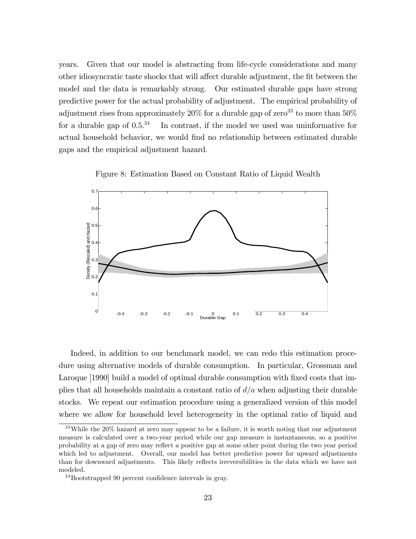years. Given that our model is abstracting from life-cycle considerations and many other idiosyncratic taste shocks that will affect durable adjustment, the fit between the model and the data is remarkably strong. Our estimated durable gaps have strong predictive power for the actual probability of adjustment. The empirical probability of adjustment rises from approximately  $20\%$  for a durable gap of zero<sup>33</sup> to more than  $50\%$ for a durable gap of  $0.5^{34}$  In contrast, if the model we used was uninformative for actual household behavior, we would find no relationship between estimated durable gaps and the empirical adjustment hazard.

Figure 8: Estimation Based on Constant Ratio of Liquid Wealth



Indeed, in addition to our benchmark model, we can redo this estimation procedure using alternative models of durable consumption. In particular, Grossman and Laroque [1990] build a model of optimal durable consumption with fixed costs that implies that all households maintain a constant ratio of  $d/a$  when adjusting their durable stocks. We repeat our estimation procedure using a generalized version of this model where we allow for household level heterogeneity in the optimal ratio of liquid and

<sup>33</sup>While the 20% hazard at zero may appear to be a failure, it is worth noting that our adjustment measure is calculated over a two-year period while our gap measure is instantaneous, so a positive probability at a gap of zero may reflect a positive gap at some other point during the two year period which led to adjustment. Overall, our model has better predictive power for upward adjustments than for downward adjustments. This likely reflects irreversibilities in the data which we have not modeled.

 $34$ Bootstrapped 90 percent confidence intervals in gray.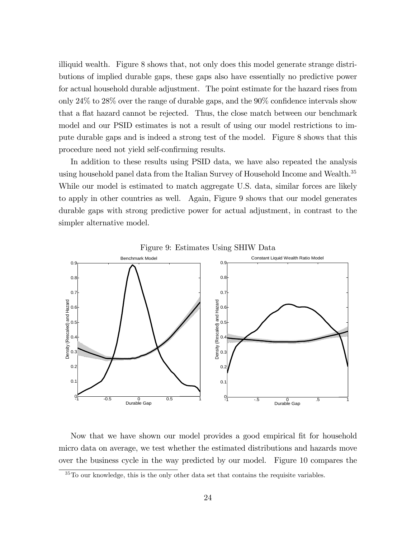illiquid wealth. Figure 8 shows that, not only does this model generate strange distributions of implied durable gaps, these gaps also have essentially no predictive power for actual household durable adjustment. The point estimate for the hazard rises from only  $24\%$  to  $28\%$  over the range of durable gaps, and the  $90\%$  confidence intervals show that a flat hazard cannot be rejected. Thus, the close match between our benchmark model and our PSID estimates is not a result of using our model restrictions to impute durable gaps and is indeed a strong test of the model. Figure 8 shows that this procedure need not yield self-confirming results.

In addition to these results using PSID data, we have also repeated the analysis using household panel data from the Italian Survey of Household Income and Wealth.<sup>35</sup> While our model is estimated to match aggregate U.S. data, similar forces are likely to apply in other countries as well. Again, Figure 9 shows that our model generates durable gaps with strong predictive power for actual adjustment, in contrast to the simpler alternative model.



Figure 9: Estimates Using SHIW Data

Now that we have shown our model provides a good empirical fit for household micro data on average, we test whether the estimated distributions and hazards move over the business cycle in the way predicted by our model. Figure 10 compares the

 $35$ To our knowledge, this is the only other data set that contains the requisite variables.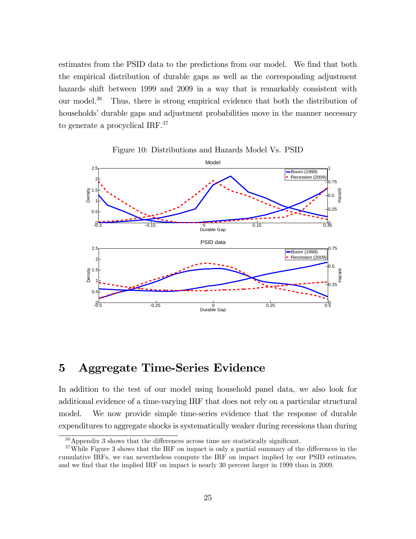estimates from the PSID data to the predictions from our model. We find that both the empirical distribution of durable gaps as well as the corresponding adjustment hazards shift between 1999 and 2009 in a way that is remarkably consistent with our model.<sup>36</sup> Thus, there is strong empirical evidence that both the distribution of households<sup>'</sup> durable gaps and adjustment probabilities move in the manner necessary to generate a procyclical IRF.<sup>37</sup>





## 5 Aggregate Time-Series Evidence

In addition to the test of our model using household panel data, we also look for additional evidence of a time-varying IRF that does not rely on a particular structural model. We now provide simple time-series evidence that the response of durable expenditures to aggregate shocks is systematically weaker during recessions than during

 $36$ Appendix 3 shows that the differences across time are statistically significant.

 $37$  While Figure 3 shows that the IRF on impact is only a partial summary of the differences in the cumulative IRFs, we can nevertheless compute the IRF on impact implied by our PSID estimates, and we find that the implied IRF on impact is nearly 30 percent larger in 1999 than in 2009.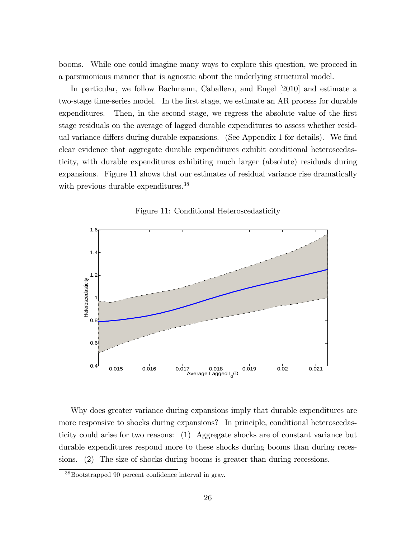booms. While one could imagine many ways to explore this question, we proceed in a parsimonious manner that is agnostic about the underlying structural model.

In particular, we follow Bachmann, Caballero, and Engel [2010] and estimate a two-stage time-series model. In the first stage, we estimate an AR process for durable expenditures. Then, in the second stage, we regress the absolute value of the first stage residuals on the average of lagged durable expenditures to assess whether residual variance differs during durable expansions. (See Appendix 1 for details). We find clear evidence that aggregate durable expenditures exhibit conditional heteroscedasticity, with durable expenditures exhibiting much larger (absolute) residuals during expansions. Figure 11 shows that our estimates of residual variance rise dramatically with previous durable expenditures.<sup>38</sup>





Why does greater variance during expansions imply that durable expenditures are more responsive to shocks during expansions? In principle, conditional heteroscedasticity could arise for two reasons: (1) Aggregate shocks are of constant variance but durable expenditures respond more to these shocks during booms than during recessions. (2) The size of shocks during booms is greater than during recessions.

 $38\text{Boostrapped }90$  percent confidence interval in gray.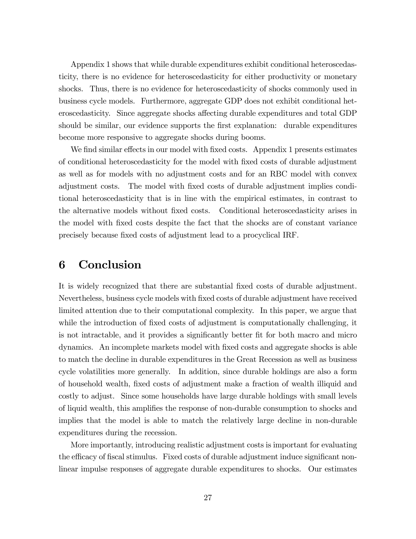Appendix 1 shows that while durable expenditures exhibit conditional heteroscedasticity, there is no evidence for heteroscedasticity for either productivity or monetary shocks. Thus, there is no evidence for heteroscedasticity of shocks commonly used in business cycle models. Furthermore, aggregate GDP does not exhibit conditional heteroscedasticity. Since aggregate shocks affecting durable expenditures and total GDP should be similar, our evidence supports the first explanation: durable expenditures become more responsive to aggregate shocks during booms.

We find similar effects in our model with fixed costs. Appendix 1 presents estimates of conditional heteroscedasticity for the model with Öxed costs of durable adjustment as well as for models with no adjustment costs and for an RBC model with convex adjustment costs. The model with Öxed costs of durable adjustment implies conditional heteroscedasticity that is in line with the empirical estimates, in contrast to the alternative models without fixed costs. Conditional heteroscedasticity arises in the model with Öxed costs despite the fact that the shocks are of constant variance precisely because Öxed costs of adjustment lead to a procyclical IRF.

### 6 Conclusion

It is widely recognized that there are substantial fixed costs of durable adjustment. Nevertheless, business cycle models with Öxed costs of durable adjustment have received limited attention due to their computational complexity. In this paper, we argue that while the introduction of fixed costs of adjustment is computationally challenging, it is not intractable, and it provides a significantly better fit for both macro and micro dynamics. An incomplete markets model with Öxed costs and aggregate shocks is able to match the decline in durable expenditures in the Great Recession as well as business cycle volatilities more generally. In addition, since durable holdings are also a form of household wealth, Öxed costs of adjustment make a fraction of wealth illiquid and costly to adjust. Since some households have large durable holdings with small levels of liquid wealth, this amplifies the response of non-durable consumption to shocks and implies that the model is able to match the relatively large decline in non-durable expenditures during the recession.

More importantly, introducing realistic adjustment costs is important for evaluating the efficacy of fiscal stimulus. Fixed costs of durable adjustment induce significant nonlinear impulse responses of aggregate durable expenditures to shocks. Our estimates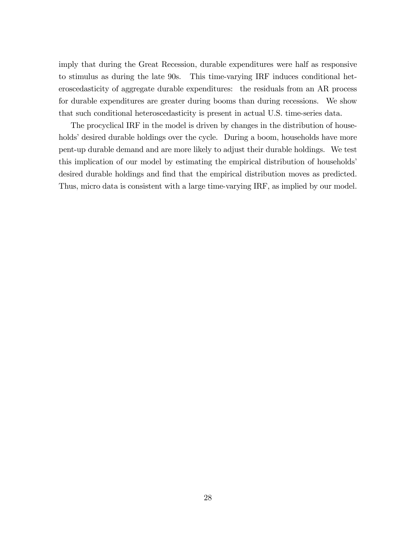imply that during the Great Recession, durable expenditures were half as responsive to stimulus as during the late 90s. This time-varying IRF induces conditional heteroscedasticity of aggregate durable expenditures: the residuals from an AR process for durable expenditures are greater during booms than during recessions. We show that such conditional heteroscedasticity is present in actual U.S. time-series data.

The procyclical IRF in the model is driven by changes in the distribution of households' desired durable holdings over the cycle. During a boom, households have more pent-up durable demand and are more likely to adjust their durable holdings. We test this implication of our model by estimating the empirical distribution of households<sup>*'*</sup> desired durable holdings and find that the empirical distribution moves as predicted. Thus, micro data is consistent with a large time-varying IRF, as implied by our model.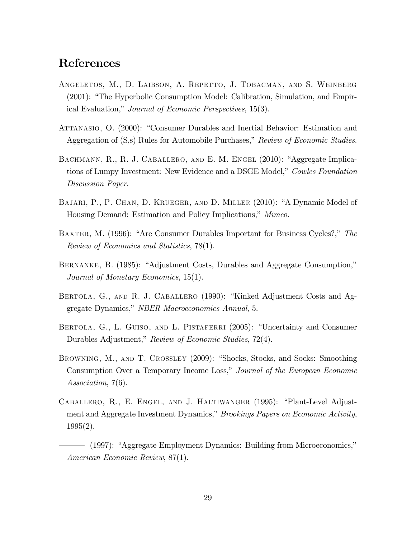### References

- Angeletos, M., D. Laibson, A. Repetto, J. Tobacman, and S. Weinberg  $(2001)$ : "The Hyperbolic Consumption Model: Calibration, Simulation, and Empirical Evaluation," Journal of Economic Perspectives, 15(3).
- ATTANASIO, O. (2000): "Consumer Durables and Inertial Behavior: Estimation and Aggregation of  $(S,s)$  Rules for Automobile Purchases," Review of Economic Studies.
- BACHMANN, R., R. J. CABALLERO, AND E. M. ENGEL (2010): "Aggregate Implications of Lumpy Investment: New Evidence and a DSGE Model," Cowles Foundation Discussion Paper.
- BAJARI, P., P. CHAN, D. KRUEGER, AND D. MILLER (2010): "A Dynamic Model of Housing Demand: Estimation and Policy Implications," *Mimeo.*
- BAXTER, M. (1996): "Are Consumer Durables Important for Business Cycles?," The Review of Economics and Statistics, 78(1).
- BERNANKE, B. (1985): "Adjustment Costs, Durables and Aggregate Consumption," Journal of Monetary Economics, 15(1).
- BERTOLA, G., AND R. J. CABALLERO (1990): "Kinked Adjustment Costs and Aggregate Dynamics," NBER Macroeconomics Annual, 5.
- BERTOLA, G., L. GUISO, AND L. PISTAFERRI (2005): "Uncertainty and Consumer Durables Adjustment," Review of Economic Studies, 72(4).
- BROWNING, M., AND T. CROSSLEY (2009): "Shocks, Stocks, and Socks: Smoothing Consumption Over a Temporary Income Loss," Journal of the European Economic Association, 7(6).
- CABALLERO, R., E. ENGEL, AND J. HALTIWANGER (1995): "Plant-Level Adjustment and Aggregate Investment Dynamics," *Brookings Papers on Economic Activity*, 1995(2).

<sup>- (1997): &</sup>quot;Aggregate Employment Dynamics: Building from Microeconomics," American Economic Review, 87(1).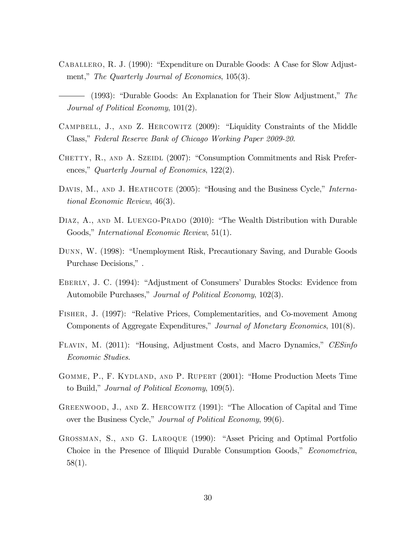- CABALLERO, R. J. (1990): "Expenditure on Durable Goods: A Case for Slow Adjustment," The Quarterly Journal of Economics,  $105(3)$ .
- $-$  (1993): "Durable Goods: An Explanation for Their Slow Adjustment," The Journal of Political Economy, 101(2).
- CAMPBELL, J., AND Z. HERCOWITZ (2009): "Liquidity Constraints of the Middle Class," Federal Reserve Bank of Chicago Working Paper 2009-20.
- CHETTY, R., AND A. SZEIDL (2007): "Consumption Commitments and Risk Preferences," Quarterly Journal of Economics,  $122(2)$ .
- DAVIS, M., AND J. HEATHCOTE  $(2005)$ : "Housing and the Business Cycle," International Economic Review, 46(3).
- DIAZ, A., AND M. LUENGO-PRADO (2010): "The Wealth Distribution with Durable Goods," International Economic Review, 51(1).
- DUNN, W. (1998): "Unemployment Risk, Precautionary Saving, and Durable Goods Purchase Decisions,".
- EBERLY, J. C. (1994): "Adjustment of Consumers' Durables Stocks: Evidence from Automobile Purchases," Journal of Political Economy, 102(3).
- FISHER, J. (1997): "Relative Prices, Complementarities, and Co-movement Among Components of Aggregate Expenditures," Journal of Monetary Economics, 101(8).
- FLAVIN, M. (2011): "Housing, Adjustment Costs, and Macro Dynamics," CESinfo Economic Studies.
- GOMME, P., F. KYDLAND, AND P. RUPERT (2001): "Home Production Meets Time to Build," Journal of Political Economy,  $109(5)$ .
- GREENWOOD, J., AND Z. HERCOWITZ (1991): "The Allocation of Capital and Time over the Business Cycle," Journal of Political Economy, 99(6).
- GROSSMAN, S., AND G. LAROQUE (1990): "Asset Pricing and Optimal Portfolio Choice in the Presence of Illiquid Durable Consumption Goods," *Econometrica*, 58(1).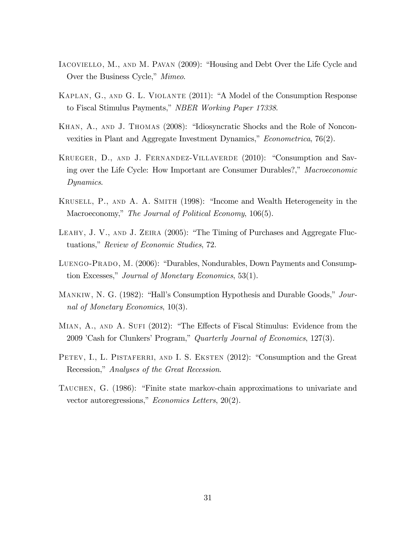- IACOVIELLO, M., AND M. PAVAN (2009): "Housing and Debt Over the Life Cycle and Over the Business Cycle," Mimeo.
- KAPLAN, G., AND G. L. VIOLANTE (2011): "A Model of the Consumption Response to Fiscal Stimulus Payments," NBER Working Paper 17338.
- KHAN, A., AND J. THOMAS (2008): "Idiosyncratic Shocks and the Role of Nonconvexities in Plant and Aggregate Investment Dynamics,"  $Econometrica$ , 76(2).
- KRUEGER, D., AND J. FERNANDEZ-VILLAVERDE (2010): "Consumption and Saving over the Life Cycle: How Important are Consumer Durables?," Macroeconomic Dynamics.
- KRUSELL, P., AND A. A. SMITH (1998): "Income and Wealth Heterogeneity in the Macroeconomy," The Journal of Political Economy, 106(5).
- LEAHY, J. V., AND J. ZEIRA  $(2005)$ : "The Timing of Purchases and Aggregate Fluctuations," Review of Economic Studies, 72.
- LUENGO-PRADO, M. (2006): "Durables, Nondurables, Down Payments and Consumption Excesses," Journal of Monetary Economics,  $53(1)$ .
- MANKIW, N. G. (1982): "Hall's Consumption Hypothesis and Durable Goods," Journal of Monetary Economics, 10(3).
- MIAN, A., AND A. SUFI (2012): "The Effects of Fiscal Stimulus: Evidence from the 2009 'Cash for Clunkers' Program," Quarterly Journal of Economics,  $127(3)$ .
- PETEV, I., L. PISTAFERRI, AND I. S. EKSTEN (2012): "Consumption and the Great Recession," Analyses of the Great Recession.
- TAUCHEN, G. (1986): "Finite state markov-chain approximations to univariate and vector autoregressions," Economics Letters,  $20(2)$ .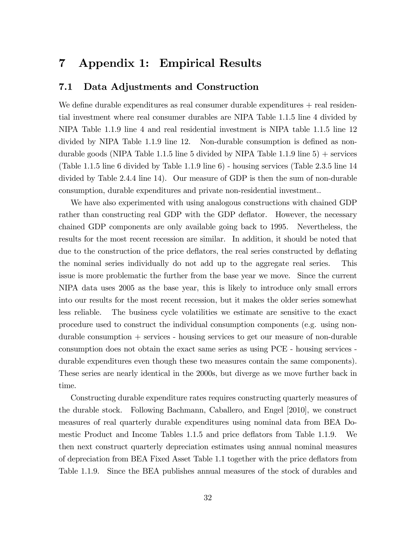## 7 Appendix 1: Empirical Results

### 7.1 Data Adjustments and Construction

We define durable expenditures as real consumer durable expenditures  $+$  real residential investment where real consumer durables are NIPA Table 1.1.5 line 4 divided by NIPA Table 1.1.9 line 4 and real residential investment is NIPA table 1.1.5 line 12 divided by NIPA Table 1.1.9 line 12. Non-durable consumption is defined as nondurable goods (NIPA Table 1.1.5 line 5 divided by NIPA Table 1.1.9 line  $5$ ) + services (Table 1.1.5 line 6 divided by Table 1.1.9 line 6) - housing services (Table 2.3.5 line 14 divided by Table 2.4.4 line 14). Our measure of GDP is then the sum of non-durable consumption, durable expenditures and private non-residential investment..

We have also experimented with using analogous constructions with chained GDP rather than constructing real GDP with the GDP deflator. However, the necessary chained GDP components are only available going back to 1995. Nevertheless, the results for the most recent recession are similar. In addition, it should be noted that due to the construction of the price deflators, the real series constructed by deflating the nominal series individually do not add up to the aggregate real series. This issue is more problematic the further from the base year we move. Since the current NIPA data uses 2005 as the base year, this is likely to introduce only small errors into our results for the most recent recession, but it makes the older series somewhat less reliable. The business cycle volatilities we estimate are sensitive to the exact procedure used to construct the individual consumption components (e.g. using nondurable consumption + services - housing services to get our measure of non-durable consumption does not obtain the exact same series as using PCE - housing services durable expenditures even though these two measures contain the same components). These series are nearly identical in the 2000s, but diverge as we move further back in time.

Constructing durable expenditure rates requires constructing quarterly measures of the durable stock. Following Bachmann, Caballero, and Engel [2010], we construct measures of real quarterly durable expenditures using nominal data from BEA Domestic Product and Income Tables 1.1.5 and price deáators from Table 1.1.9. We then next construct quarterly depreciation estimates using annual nominal measures of depreciation from BEA Fixed Asset Table 1.1 together with the price deáators from Table 1.1.9. Since the BEA publishes annual measures of the stock of durables and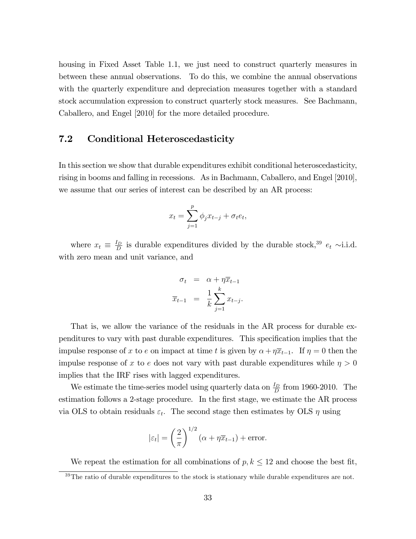housing in Fixed Asset Table 1.1, we just need to construct quarterly measures in between these annual observations. To do this, we combine the annual observations with the quarterly expenditure and depreciation measures together with a standard stock accumulation expression to construct quarterly stock measures. See Bachmann, Caballero, and Engel [2010] for the more detailed procedure.

### 7.2 Conditional Heteroscedasticity

In this section we show that durable expenditures exhibit conditional heteroscedasticity, rising in booms and falling in recessions. As in Bachmann, Caballero, and Engel [2010], we assume that our series of interest can be described by an AR process:

$$
x_t = \sum_{j=1}^p \phi_j x_{t-j} + \sigma_t e_t,
$$

where  $x_t \equiv \frac{I_D}{D}$  $\frac{U_D}{D}$  is durable expenditures divided by the durable stock,<sup>39</sup>  $e_t \sim$ i.i.d. with zero mean and unit variance, and

$$
\sigma_t = \alpha + \eta \overline{x}_{t-1}
$$

$$
\overline{x}_{t-1} = \frac{1}{k} \sum_{j=1}^k x_{t-j}.
$$

That is, we allow the variance of the residuals in the AR process for durable expenditures to vary with past durable expenditures. This specification implies that the impulse response of x to e on impact at time t is given by  $\alpha + \eta \overline{x}_{t-1}$ . If  $\eta = 0$  then the impulse response of x to e does not vary with past durable expenditures while  $\eta > 0$ implies that the IRF rises with lagged expenditures.

We estimate the time-series model using quarterly data on  $\frac{I_D}{D}$  from 1960-2010. The estimation follows a 2-stage procedure. In the first stage, we estimate the AR process via OLS to obtain residuals  $\varepsilon_t$ . The second stage then estimates by OLS  $\eta$  using

$$
|\varepsilon_t| = \left(\frac{2}{\pi}\right)^{1/2} (\alpha + \eta \overline{x}_{t-1}) + \text{error}.
$$

We repeat the estimation for all combinations of  $p, k \leq 12$  and choose the best fit,

 $39$ The ratio of durable expenditures to the stock is stationary while durable expenditures are not.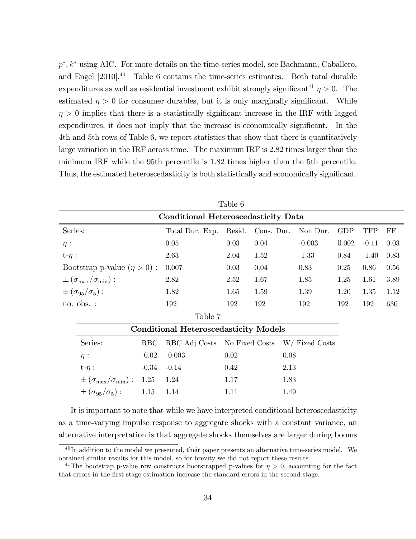$p^*, k^*$  using AIC. For more details on the time-series model, see Bachmann, Caballero, and Engel [2010].<sup>40</sup> Table 6 contains the time-series estimates. Both total durable expenditures as well as residential investment exhibit strongly significant<sup>41</sup>  $\eta > 0$ . The estimated  $\eta > 0$  for consumer durables, but it is only marginally significant. While  $\eta > 0$  implies that there is a statistically significant increase in the IRF with lagged expenditures, it does not imply that the increase is economically significant. In the 4th and 5th rows of Table 6, we report statistics that show that there is quantitatively large variation in the IRF across time. The maximum IRF is 2.82 times larger than the minimum IRF while the 95th percentile is 1.82 times higher than the 5th percentile. Thus, the estimated heteroscedasticity is both statistically and economically significant.

| Table 6                                          |                                                  |                      |              |                              |          |                |       |            |      |  |
|--------------------------------------------------|--------------------------------------------------|----------------------|--------------|------------------------------|----------|----------------|-------|------------|------|--|
| Conditional Heteroscedasticity Data              |                                                  |                      |              |                              |          |                |       |            |      |  |
| Series:                                          |                                                  | Total Dur. Exp.      | Resid.       | Cons. Dur.                   |          | Non Dur.       | GDP   | <b>TFP</b> | FF   |  |
| $\eta$ :                                         |                                                  | 0.05                 | 0.03         | 0.04                         | $-0.003$ |                | 0.002 | $-0.11$    | 0.03 |  |
| $t-\eta$ :                                       |                                                  | 2.63                 | 2.04         | 1.52                         | $-1.33$  |                | 0.84  | $-1.40$    | 0.83 |  |
| Bootstrap p-value $(\eta > 0)$ :                 |                                                  | 0.007                | 0.03         | 0.04                         |          | 0.83           | 0.25  | 0.86       | 0.56 |  |
| $\pm (\sigma_{\text{max}}/\sigma_{\text{min}}):$ |                                                  | 2.82                 | 2.52         | 1.67                         | 1.85     |                | 1.25  | 1.61       | 3.89 |  |
| $\pm(\sigma_{95}/\sigma_5):$                     |                                                  | 1.82                 | 1.65         | 1.59                         |          | 1.39           | 1.20  | 1.35       | 1.12 |  |
| no. obs. :                                       |                                                  | 192                  | 192          | 192                          | 192      |                | 192   | 192        | 630  |  |
| Table 7                                          |                                                  |                      |              |                              |          |                |       |            |      |  |
|                                                  | <b>Conditional Heteroscedasticity Models</b>     |                      |              |                              |          |                |       |            |      |  |
|                                                  | Series:                                          | <b>RBC</b>           |              | RBC Adj Costs No Fixed Costs |          | W/ Fixed Costs |       |            |      |  |
|                                                  | $\eta$ :                                         | $-0.02$              | $-0.003$     | 0.02                         |          | 0.08           |       |            |      |  |
|                                                  | $t-\eta$ :                                       | $-0.34$              | $-0.14$      | 0.42                         |          | 2.13           |       |            |      |  |
|                                                  | $\pm (\sigma_{\text{max}}/\sigma_{\text{min}}):$ | 1.25<br>1.24<br>1.17 |              |                              | 1.83     |                |       |            |      |  |
| $\pm(\sigma_{95}/\sigma_5):$<br>1.15<br>1.14     |                                                  |                      | 1.11<br>1.49 |                              |          |                |       |            |      |  |
|                                                  |                                                  |                      |              |                              |          |                |       |            |      |  |

It is important to note that while we have interpreted conditional heteroscedasticity as a time-varying impulse response to aggregate shocks with a constant variance, an alternative interpretation is that aggregate shocks themselves are larger during booms

 $^{40}$ In addition to the model we presented, their paper presents an alternative time-series model. We obtained similar results for this model, so for brevity we did not report these results.

<sup>&</sup>lt;sup>41</sup>The bootstrap p-value row constructs bootstrapped p-values for  $\eta > 0$ , accounting for the fact that errors in the Örst stage estimation increase the standard errors in the second stage.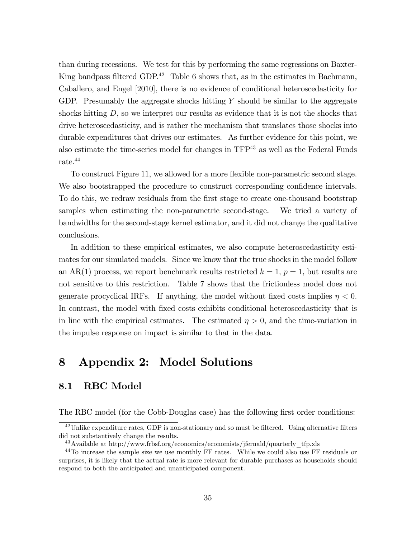than during recessions. We test for this by performing the same regressions on Baxter-King bandpass filtered GDP.<sup>42</sup> Table 6 shows that, as in the estimates in Bachmann, Caballero, and Engel [2010], there is no evidence of conditional heteroscedasticity for GDP. Presumably the aggregate shocks hitting  $Y$  should be similar to the aggregate shocks hitting D, so we interpret our results as evidence that it is not the shocks that drive heteroscedasticity, and is rather the mechanism that translates those shocks into durable expenditures that drives our estimates. As further evidence for this point, we also estimate the time-series model for changes in  $TFP<sup>43</sup>$  as well as the Federal Funds rate.<sup>44</sup>

To construct Figure 11, we allowed for a more flexible non-parametric second stage. We also bootstrapped the procedure to construct corresponding confidence intervals. To do this, we redraw residuals from the first stage to create one-thousand bootstrap samples when estimating the non-parametric second-stage. We tried a variety of bandwidths for the second-stage kernel estimator, and it did not change the qualitative conclusions.

In addition to these empirical estimates, we also compute heteroscedasticity estimates for our simulated models. Since we know that the true shocks in the model follow an AR(1) process, we report benchmark results restricted  $k = 1$ ,  $p = 1$ , but results are not sensitive to this restriction. Table 7 shows that the frictionless model does not generate procyclical IRFs. If anything, the model without fixed costs implies  $\eta < 0$ . In contrast, the model with fixed costs exhibits conditional heteroscedasticity that is in line with the empirical estimates. The estimated  $\eta > 0$ , and the time-variation in the impulse response on impact is similar to that in the data.

## 8 Appendix 2: Model Solutions

### 8.1 RBC Model

The RBC model (for the Cobb-Douglas case) has the following first order conditions:

 $^{42}$ Unlike expenditure rates, GDP is non-stationary and so must be filtered. Using alternative filters did not substantively change the results.

<sup>43</sup>Available at http://www.frbsf.org/economics/economists/jfernald/quarterly\_tfp.xls

<sup>44</sup>To increase the sample size we use monthly FF rates. While we could also use FF residuals or surprises, it is likely that the actual rate is more relevant for durable purchases as households should respond to both the anticipated and unanticipated component.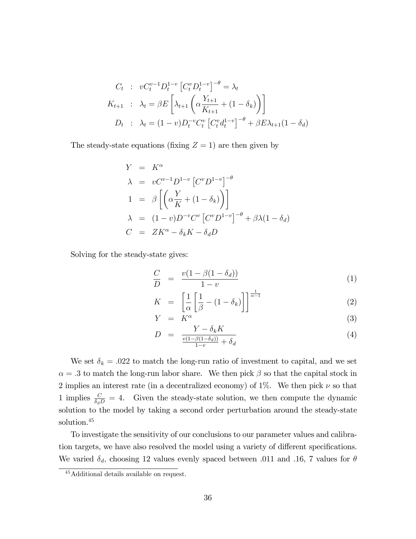$$
C_t : vC_t^{v-1}D_t^{1-v} [C_t^v D_t^{1-v}]^{-\theta} = \lambda_t
$$
  
\n
$$
K_{t+1} : \lambda_t = \beta E \left[ \lambda_{t+1} \left( \alpha \frac{Y_{t+1}}{K_{t+1}} + (1 - \delta_k) \right) \right]
$$
  
\n
$$
D_t : \lambda_t = (1 - v)D_t^{-v} C_t^v [C_t^v d_t^{1-v}]^{-\theta} + \beta E \lambda_{t+1} (1 - \delta_d)
$$

The steady-state equations (fixing  $Z = 1$ ) are then given by

$$
Y = K^{\alpha}
$$
  
\n
$$
\lambda = vC^{v-1}D^{1-v} [C^v D^{1-v}]^{-\theta}
$$
  
\n
$$
1 = \beta \left[ \left( \alpha \frac{Y}{K} + (1 - \delta_k) \right) \right]
$$
  
\n
$$
\lambda = (1 - v)D^{-v}C^v [C^v D^{1-v}]^{-\theta} + \beta \lambda (1 - \delta_d)
$$
  
\n
$$
C = ZK^{\alpha} - \delta_k K - \delta_d D
$$

Solving for the steady-state gives:

$$
\frac{C}{D} = \frac{v(1 - \beta(1 - \delta_d))}{1 - v} \tag{1}
$$

$$
K = \left[\frac{1}{\alpha} \left[\frac{1}{\beta} - (1 - \delta_k)\right]\right]^{\frac{1}{\alpha - 1}}
$$
\n(2)

$$
Y = \overline{K^{\alpha}}
$$
 (3)

$$
D = \frac{Y - \delta_k K}{\frac{v(1 - \beta(1 - \delta_d))}{1 - v} + \delta_d} \tag{4}
$$

We set  $\delta_k = .022$  to match the long-run ratio of investment to capital, and we set  $\alpha = 0.3$  to match the long-run labor share. We then pick  $\beta$  so that the capital stock in 2 implies an interest rate (in a decentralized economy) of  $1\%$ . We then pick  $\nu$  so that 1 implies  $\frac{C}{\delta_d D} = 4$ . Given the steady-state solution, we then compute the dynamic solution to the model by taking a second order perturbation around the steady-state solution.<sup>45</sup>

To investigate the sensitivity of our conclusions to our parameter values and calibration targets, we have also resolved the model using a variety of different specifications. We varied  $\delta_d$ , choosing 12 values evenly spaced between .011 and .16, 7 values for  $\theta$ 

<sup>45</sup>Additional details available on request.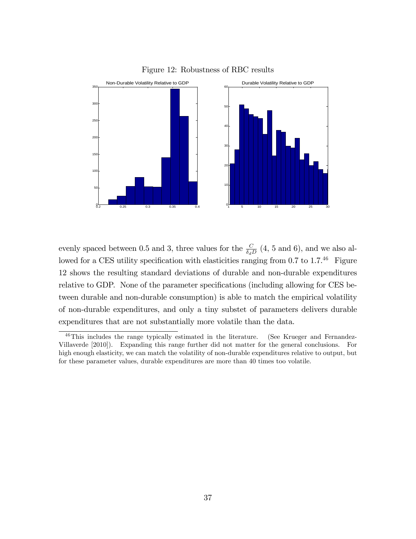

Figure 12: Robustness of RBC results

evenly spaced between 0.5 and 3, three values for the  $\frac{C}{\delta_d D}$  (4, 5 and 6), and we also allowed for a CES utility specification with elasticities ranging from  $0.7$  to  $1.7<sup>46</sup>$  Figure 12 shows the resulting standard deviations of durable and non-durable expenditures relative to GDP. None of the parameter specifications (including allowing for CES between durable and non-durable consumption) is able to match the empirical volatility of non-durable expenditures, and only a tiny substet of parameters delivers durable expenditures that are not substantially more volatile than the data.

<sup>&</sup>lt;sup>46</sup>This includes the range typically estimated in the literature. (See Krueger and Fernandez-Villaverde [2010]). Expanding this range further did not matter for the general conclusions. For high enough elasticity, we can match the volatility of non-durable expenditures relative to output, but for these parameter values, durable expenditures are more than 40 times too volatile.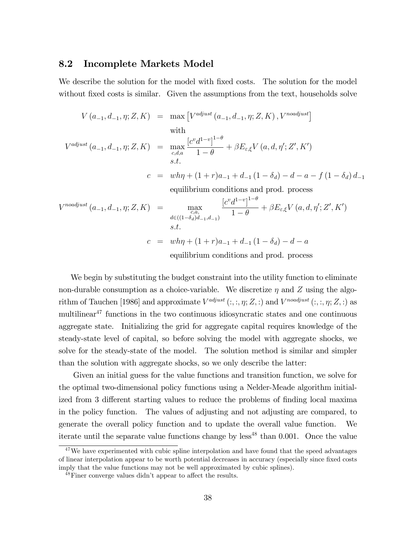#### 8.2 Incomplete Markets Model

We describe the solution for the model with fixed costs. The solution for the model without fixed costs is similar. Given the assumptions from the text, households solve

$$
V(a_{-1}, d_{-1}, \eta; Z, K) = \max \left[ V^{adjust} (a_{-1}, d_{-1}, \eta; Z, K), V^{nodjust} \right]
$$
  
\nwith  
\n
$$
V^{adjust} (a_{-1}, d_{-1}, \eta; Z, K) = \max_{c, d, a} \frac{[c^v d^{1-v}]^{1-\theta}}{1-\theta} + \beta E_{\varepsilon, \xi} V (a, d, \eta'; Z', K')
$$
  
\n*s.t.*  
\n
$$
c = wh\eta + (1+r)a_{-1} + d_{-1} (1-\delta_d) - d - a - f (1-\delta_d) d_{-1}
$$
  
\nequilibrium conditions and prod. process  
\n
$$
V^{nodjust} (a_{-1}, d_{-1}, \eta; Z, K) = \max_{\substack{c, a, \\ d \in ((1-\delta_d)d_{-1}, d_{-1})}} \frac{[c^v d^{1-v}]^{1-\theta}}{1-\theta} + \beta E_{\varepsilon, \xi} V (a, d, \eta'; Z', K')
$$
  
\n*s.t.*  
\n
$$
c = wh\eta + (1+r)a_{-1} + d_{-1} (1-\delta_d) - d - a
$$

equilibrium conditions and prod. process

We begin by substituting the budget constraint into the utility function to eliminate non-durable consumption as a choice-variable. We discretize  $\eta$  and Z using the algorithm of Tauchen [1986] and approximate  $V^{adjust}(:,:;\eta;Z,:)$  and  $V^{nodjust}(:,:;\eta;Z,:)$  as multilinear<sup>47</sup> functions in the two continuous idiosyncratic states and one continuous aggregate state. Initializing the grid for aggregate capital requires knowledge of the steady-state level of capital, so before solving the model with aggregate shocks, we solve for the steady-state of the model. The solution method is similar and simpler than the solution with aggregate shocks, so we only describe the latter:

Given an initial guess for the value functions and transition function, we solve for the optimal two-dimensional policy functions using a Nelder-Meade algorithm initialized from 3 different starting values to reduce the problems of finding local maxima in the policy function. The values of adjusting and not adjusting are compared, to generate the overall policy function and to update the overall value function. We iterate until the separate value functions change by less<sup>48</sup> than  $0.001$ . Once the value

 $47$ We have experimented with cubic spline interpolation and have found that the speed advantages of linear interpolation appear to be worth potential decreases in accuracy (especially since fixed costs imply that the value functions may not be well approximated by cubic splines).

 $^{48}$ Finer converge values didn't appear to affect the results.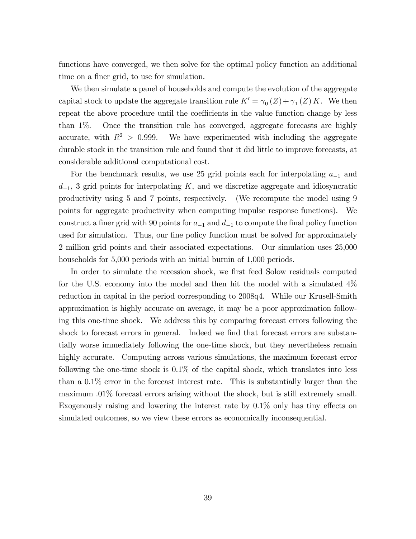functions have converged, we then solve for the optimal policy function an additional time on a finer grid, to use for simulation.

We then simulate a panel of households and compute the evolution of the aggregate capital stock to update the aggregate transition rule  $K' = \gamma_0(Z) + \gamma_1(Z) K$ . We then repeat the above procedure until the coefficients in the value function change by less than 1%. Once the transition rule has converged, aggregate forecasts are highly accurate, with  $R^2 > 0.999$ . We have experimented with including the aggregate durable stock in the transition rule and found that it did little to improve forecasts, at considerable additional computational cost.

For the benchmark results, we use 25 grid points each for interpolating  $a_{-1}$  and  $d_{-1}$ , 3 grid points for interpolating K, and we discretize aggregate and idiosyncratic productivity using 5 and 7 points, respectively. (We recompute the model using 9 points for aggregate productivity when computing impulse response functions). We construct a finer grid with 90 points for  $a_{-1}$  and  $d_{-1}$  to compute the final policy function used for simulation. Thus, our fine policy function must be solved for approximately 2 million grid points and their associated expectations. Our simulation uses 25,000 households for 5,000 periods with an initial burnin of 1,000 periods.

In order to simulate the recession shock, we first feed Solow residuals computed for the U.S. economy into the model and then hit the model with a simulated 4% reduction in capital in the period corresponding to 2008q4. While our Krusell-Smith approximation is highly accurate on average, it may be a poor approximation following this one-time shock. We address this by comparing forecast errors following the shock to forecast errors in general. Indeed we find that forecast errors are substantially worse immediately following the one-time shock, but they nevertheless remain highly accurate. Computing across various simulations, the maximum forecast error following the one-time shock is 0.1% of the capital shock, which translates into less than a 0.1% error in the forecast interest rate. This is substantially larger than the maximum .01% forecast errors arising without the shock, but is still extremely small. Exogenously raising and lowering the interest rate by  $0.1\%$  only has tiny effects on simulated outcomes, so we view these errors as economically inconsequential.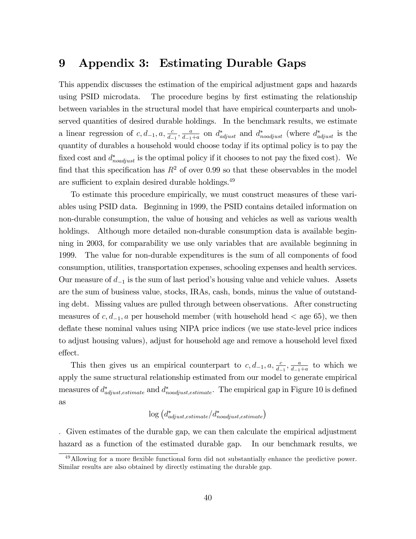# 9 Appendix 3: Estimating Durable Gaps

This appendix discusses the estimation of the empirical adjustment gaps and hazards using PSID microdata. The procedure begins by first estimating the relationship between variables in the structural model that have empirical counterparts and unobserved quantities of desired durable holdings. In the benchmark results, we estimate a linear regression of  $c, d_{-1}, a, \frac{c}{d_{-1}}, \frac{a}{d_{-1}}$  $\frac{a}{d_{-1}+a}$  on  $d_{adjust}^*$  and  $d_{noadjust}^*$  (where  $d_{adjust}^*$  is the quantity of durables a household would choose today if its optimal policy is to pay the fixed cost and  $d_{noadjust}^*$  is the optimal policy if it chooses to not pay the fixed cost). We find that this specification has  $R^2$  of over 0.99 so that these observables in the model are sufficient to explain desired durable holdings.<sup>49</sup>

To estimate this procedure empirically, we must construct measures of these variables using PSID data. Beginning in 1999, the PSID contains detailed information on non-durable consumption, the value of housing and vehicles as well as various wealth holdings. Although more detailed non-durable consumption data is available beginning in 2003, for comparability we use only variables that are available beginning in 1999. The value for non-durable expenditures is the sum of all components of food consumption, utilities, transportation expenses, schooling expenses and health services. Our measure of  $d_{-1}$  is the sum of last period's housing value and vehicle values. Assets are the sum of business value, stocks, IRAs, cash, bonds, minus the value of outstanding debt. Missing values are pulled through between observations. After constructing measures of  $c, d_{-1}, a$  per household member (with household head  $\lt$  age 65), we then deflate these nominal values using NIPA price indices (we use state-level price indices to adjust housing values), adjust for household age and remove a household level fixed effect.

This then gives us an empirical counterpart to  $c, d_{-1}, a, \frac{c}{d_{-1}}, \frac{a}{d_{-1}}$  $\frac{a}{d-1+a}$  to which we apply the same structural relationship estimated from our model to generate empirical measures of  $d^*_{adjust, estimate}$  and  $d^*_{nodjust, estimate}$ . The empirical gap in Figure 10 is defined as

$$
\log\left(d^{*}_{adjust,estimate}/d^{*}_{nodjust, estimate}\right)
$$

: Given estimates of the durable gap, we can then calculate the empirical adjustment hazard as a function of the estimated durable gap. In our benchmark results, we

<sup>&</sup>lt;sup>49</sup>Allowing for a more flexible functional form did not substantially enhance the predictive power. Similar results are also obtained by directly estimating the durable gap.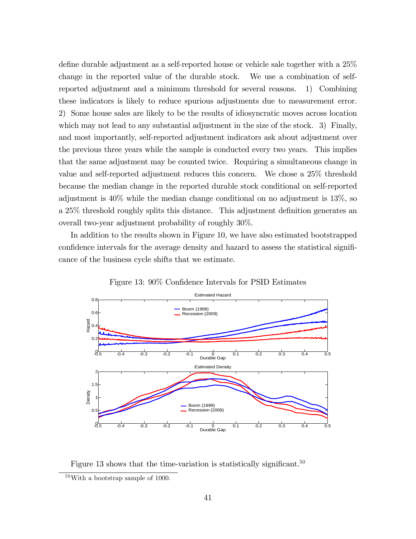define durable adjustment as a self-reported house or vehicle sale together with a  $25\%$ change in the reported value of the durable stock. We use a combination of selfreported adjustment and a minimum threshold for several reasons. 1) Combining these indicators is likely to reduce spurious adjustments due to measurement error. 2) Some house sales are likely to be the results of idiosyncratic moves across location which may not lead to any substantial adjustment in the size of the stock. 3) Finally, and most importantly, self-reported adjustment indicators ask about adjustment over the previous three years while the sample is conducted every two years. This implies that the same adjustment may be counted twice. Requiring a simultaneous change in value and self-reported adjustment reduces this concern. We chose a 25% threshold because the median change in the reported durable stock conditional on self-reported adjustment is 40% while the median change conditional on no adjustment is 13%, so a 25% threshold roughly splits this distance. This adjustment definition generates an overall two-year adjustment probability of roughly 30%.

In addition to the results shown in Figure 10, we have also estimated bootstrapped confidence intervals for the average density and hazard to assess the statistical significance of the business cycle shifts that we estimate.



Figure 13: 90% Confidence Intervals for PSID Estimates

Figure 13 shows that the time-variation is statistically significant.<sup>50</sup>

<sup>50</sup>With a bootstrap sample of 1000.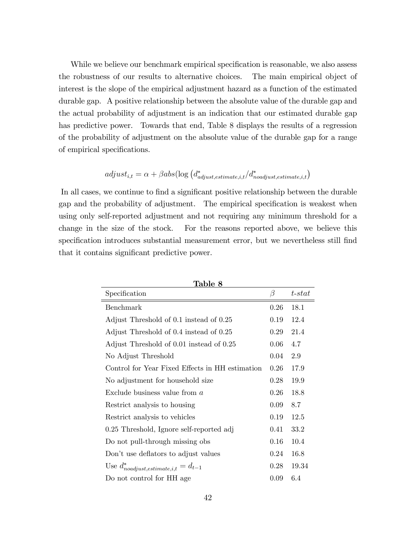While we believe our benchmark empirical specification is reasonable, we also assess the robustness of our results to alternative choices. The main empirical object of interest is the slope of the empirical adjustment hazard as a function of the estimated durable gap. A positive relationship between the absolute value of the durable gap and the actual probability of adjustment is an indication that our estimated durable gap has predictive power. Towards that end, Table 8 displays the results of a regression of the probability of adjustment on the absolute value of the durable gap for a range of empirical specifications.

$$
adjust_{i,t} = \alpha + \beta abs(\log\left(d^{*}_{adjust, estimate, i, t}/d^{*}_{nodjust, estimate, i, t}\right)
$$

In all cases, we continue to find a significant positive relationship between the durable gap and the probability of adjustment. The empirical specification is weakest when using only self-reported adjustment and not requiring any minimum threshold for a change in the size of the stock. For the reasons reported above, we believe this specification introduces substantial measurement error, but we nevertheless still find that it contains significant predictive power.

| Table 8                                         |      |              |  |  |  |  |  |
|-------------------------------------------------|------|--------------|--|--|--|--|--|
| Specification                                   | β    | $t$ - $stat$ |  |  |  |  |  |
| Benchmark                                       | 0.26 | 18.1         |  |  |  |  |  |
| Adjust Threshold of 0.1 instead of 0.25         | 0.19 | 12.4         |  |  |  |  |  |
| Adjust Threshold of 0.4 instead of 0.25         | 0.29 | 21.4         |  |  |  |  |  |
| Adjust Threshold of 0.01 instead of 0.25        | 0.06 | 4.7          |  |  |  |  |  |
| No Adjust Threshold                             | 0.04 | 2.9          |  |  |  |  |  |
| Control for Year Fixed Effects in HH estimation | 0.26 | 17.9         |  |  |  |  |  |
| No adjustment for household size                | 0.28 | 19.9         |  |  |  |  |  |
| Exclude business value from $a$                 | 0.26 | 18.8         |  |  |  |  |  |
| Restrict analysis to housing                    | 0.09 | 8.7          |  |  |  |  |  |
| Restrict analysis to vehicles                   | 0.19 | 12.5         |  |  |  |  |  |
| 0.25 Threshold, Ignore self-reported adj        | 0.41 | 33.2         |  |  |  |  |  |
| Do not pull-through missing obs                 | 0.16 | 10.4         |  |  |  |  |  |
| Don't use deflators to adjust values            | 0.24 | 16.8         |  |  |  |  |  |
| Use $d^*_{nodjust, estimate, i, t} = d_{t-1}$   | 0.28 | 19.34        |  |  |  |  |  |
| Do not control for HH age                       | 0.09 | 6.4          |  |  |  |  |  |